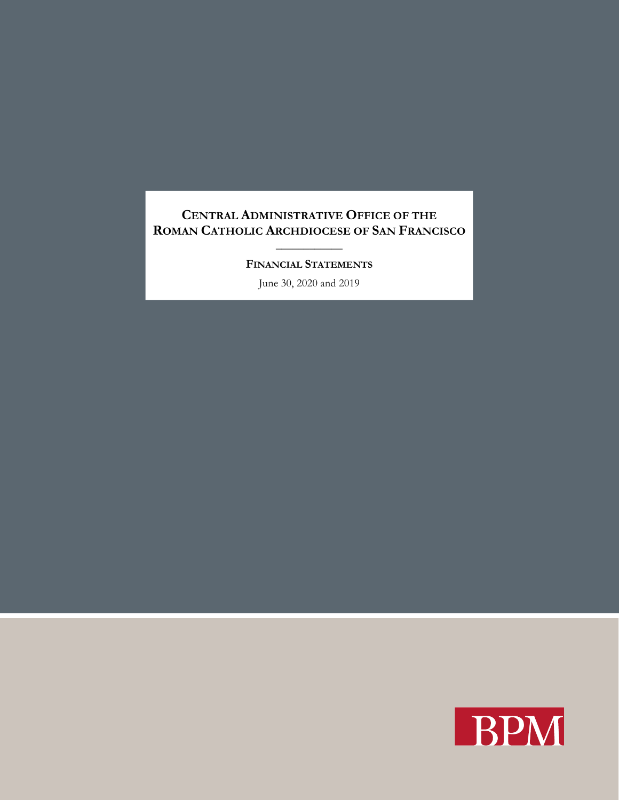\_\_\_\_\_\_\_\_\_\_\_\_ **FINANCIAL STATEMENTS**

June 30, 2020 and 2019

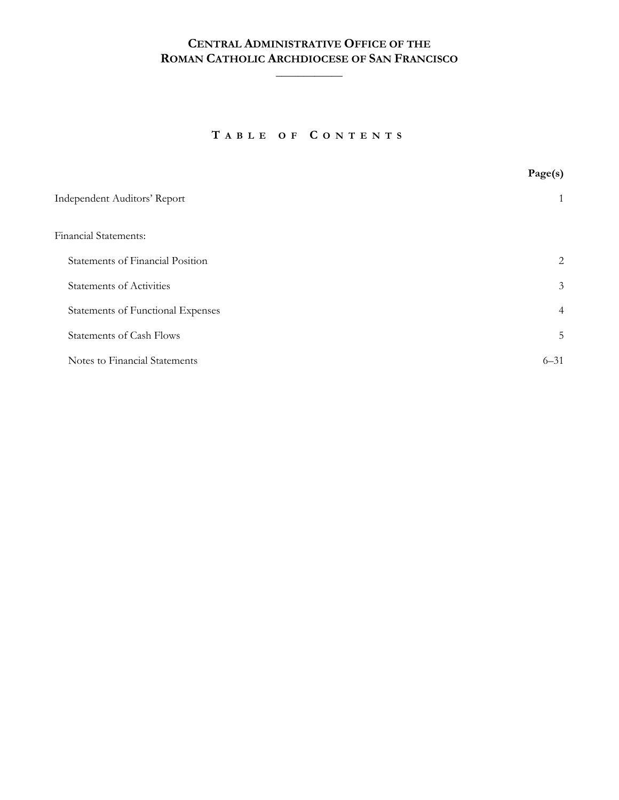$\frac{1}{2}$ 

**T ABLE OF C ONTENTS**

|                                   | Page(s)        |
|-----------------------------------|----------------|
| Independent Auditors' Report      |                |
| <b>Financial Statements:</b>      |                |
| Statements of Financial Position  | 2              |
| <b>Statements of Activities</b>   | $\mathfrak{Z}$ |
| Statements of Functional Expenses | $\overline{4}$ |
| <b>Statements of Cash Flows</b>   | 5              |
| Notes to Financial Statements     | $6 - 31$       |
|                                   |                |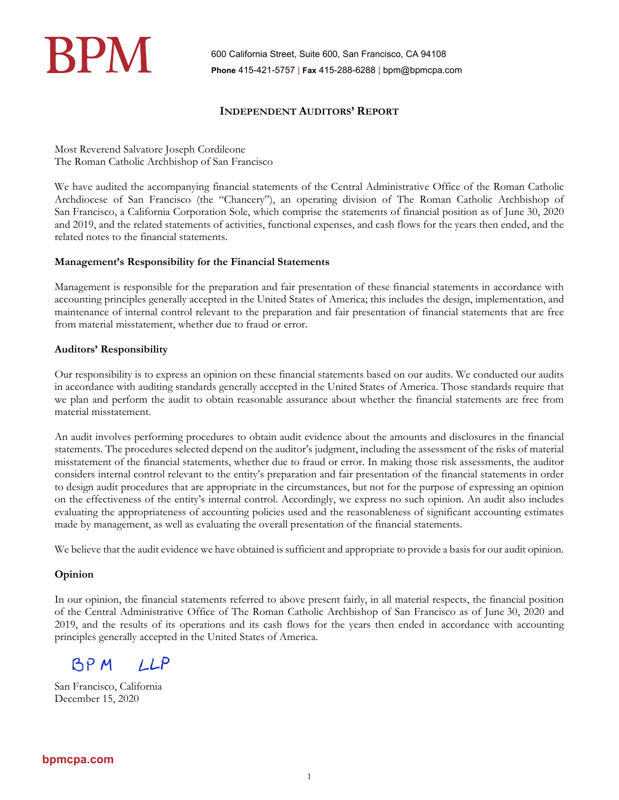

600 California Street, Suite 600, San Francisco, CA 94108 **Phone** 415-421-5757 | **Fax** 415-288-6288 | bpm@bpmcpa.com

## **INDEPENDENT AUDITORS' REPORT**

Most Reverend Salvatore Joseph Cordileone The Roman Catholic Archbishop of San Francisco

We have audited the accompanying financial statements of the Central Administrative Office of the Roman Catholic Archdiocese of San Francisco (the "Chancery"), an operating division of The Roman Catholic Archbishop of San Francisco, a California Corporation Sole, which comprise the statements of financial position as of June 30, 2020 and 2019, and the related statements of activities, functional expenses, and cash flows for the years then ended, and the related notes to the financial statements.

### **Management's Responsibility for the Financial Statements**

Management is responsible for the preparation and fair presentation of these financial statements in accordance with accounting principles generally accepted in the United States of America; this includes the design, implementation, and maintenance of internal control relevant to the preparation and fair presentation of financial statements that are free from material misstatement, whether due to fraud or error.

## **Auditors' Responsibility**

Our responsibility is to express an opinion on these financial statements based on our audits. We conducted our audits in accordance with auditing standards generally accepted in the United States of America. Those standards require that we plan and perform the audit to obtain reasonable assurance about whether the financial statements are free from material misstatement.

An audit involves performing procedures to obtain audit evidence about the amounts and disclosures in the financial statements. The procedures selected depend on the auditor's judgment, including the assessment of the risks of material misstatement of the financial statements, whether due to fraud or error. In making those risk assessments, the auditor considers internal control relevant to the entity's preparation and fair presentation of the financial statements in order to design audit procedures that are appropriate in the circumstances, but not for the purpose of expressing an opinion on the effectiveness of the entity's internal control. Accordingly, we express no such opinion. An audit also includes evaluating the appropriateness of accounting policies used and the reasonableness of significant accounting estimates made by management, as well as evaluating the overall presentation of the financial statements.

We believe that the audit evidence we have obtained is sufficient and appropriate to provide a basis for our audit opinion.

## **Opinion**

In our opinion, the financial statements referred to above present fairly, in all material respects, the financial position of the Central Administrative Office of The Roman Catholic Archbishop of San Francisco as of June 30, 2020 and 2019, and the results of its operations and its cash flows for the years then ended in accordance with accounting principles generally accepted in the United States of America.

BP M  $1LP$ 

San Francisco, California December 15, 2020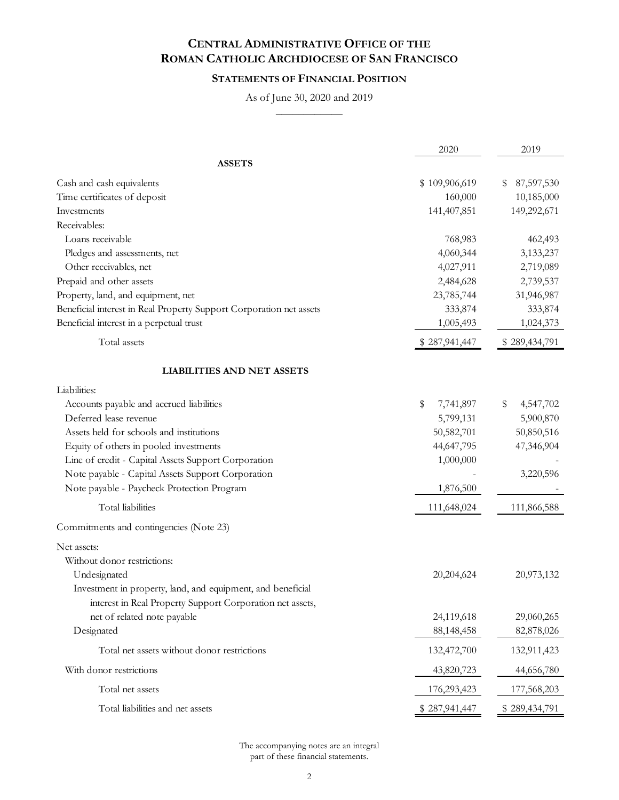## **STATEMENTS OF FINANCIAL POSITION**

As of June 30, 2020 and 2019  $\frac{1}{2}$ 

|                                                                     | 2020            | 2019             |
|---------------------------------------------------------------------|-----------------|------------------|
| <b>ASSETS</b>                                                       |                 |                  |
| Cash and cash equivalents                                           | \$109,906,619   | 87,597,530<br>\$ |
| Time certificates of deposit                                        | 160,000         | 10,185,000       |
| Investments                                                         | 141,407,851     | 149,292,671      |
| Receivables:                                                        |                 |                  |
| Loans receivable                                                    | 768,983         | 462,493          |
| Pledges and assessments, net                                        | 4,060,344       | 3,133,237        |
| Other receivables, net                                              | 4,027,911       | 2,719,089        |
| Prepaid and other assets                                            | 2,484,628       | 2,739,537        |
| Property, land, and equipment, net                                  | 23,785,744      | 31,946,987       |
| Beneficial interest in Real Property Support Corporation net assets | 333,874         | 333,874          |
| Beneficial interest in a perpetual trust                            | 1,005,493       | 1,024,373        |
| Total assets                                                        | \$287,941,447   | \$289,434,791    |
| <b>LIABILITIES AND NET ASSETS</b>                                   |                 |                  |
| Liabilities:                                                        |                 |                  |
| Accounts payable and accrued liabilities                            | \$<br>7,741,897 | \$<br>4,547,702  |
| Deferred lease revenue                                              | 5,799,131       | 5,900,870        |
| Assets held for schools and institutions                            | 50,582,701      | 50,850,516       |
| Equity of others in pooled investments                              | 44,647,795      | 47,346,904       |
| Line of credit - Capital Assets Support Corporation                 | 1,000,000       |                  |
| Note payable - Capital Assets Support Corporation                   |                 | 3,220,596        |
| Note payable - Paycheck Protection Program                          | 1,876,500       |                  |
| Total liabilities                                                   | 111,648,024     | 111,866,588      |
| Commitments and contingencies (Note 23)                             |                 |                  |
| Net assets:                                                         |                 |                  |
| Without donor restrictions:                                         |                 |                  |
| Undesignated                                                        | 20,204,624      | 20,973,132       |
| Investment in property, land, and equipment, and beneficial         |                 |                  |
| interest in Real Property Support Corporation net assets,           |                 |                  |
| net of related note payable                                         | 24,119,618      | 29,060,265       |
| Designated                                                          | 88, 148, 458    | 82,878,026       |
| Total net assets without donor restrictions                         | 132,472,700     | 132,911,423      |
| With donor restrictions                                             | 43,820,723      | 44,656,780       |
| Total net assets                                                    | 176,293,423     | 177,568,203      |
| Total liabilities and net assets                                    | \$287,941,447   | \$289,434,791    |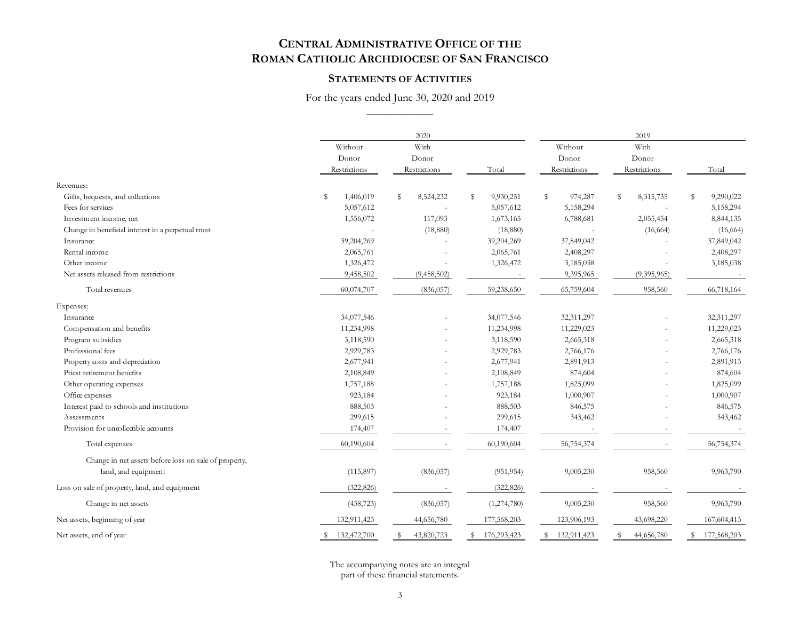#### **STATEMENTS OF ACTIVITIES**

For the years ended June 30, 2020 and 2019 \_\_\_\_\_\_\_\_\_\_\_\_

|                                                       |                 | 2020            |                 |               |                 | 2019           |  |  |
|-------------------------------------------------------|-----------------|-----------------|-----------------|---------------|-----------------|----------------|--|--|
|                                                       | Without         | With            |                 | Without       | With            |                |  |  |
|                                                       | Donor           | Donor           |                 | Donor         | Donor           |                |  |  |
|                                                       | Restrictions    | Restrictions    | Total           | Restrictions  | Restrictions    | Total          |  |  |
| Revenues:                                             |                 |                 |                 |               |                 |                |  |  |
| Gifts, bequests, and collections                      | 1,406,019<br>\$ | s<br>8,524,232  | 9,930,251<br>\$ | \$<br>974,287 | 8,315,735<br>\$ | 9,290,022<br>s |  |  |
| Fees for services                                     | 5,057,612       |                 | 5,057,612       | 5,158,294     |                 | 5,158,294      |  |  |
| Investment income, net                                | 1,556,072       | 117,093         | 1,673,165       | 6,788,681     | 2,055,454       | 8,844,135      |  |  |
| Change in beneficial interest in a perpetual trust    |                 | (18, 880)       | (18,880)        |               | (16, 664)       | (16, 664)      |  |  |
| Insurance                                             | 39,204,269      |                 | 39,204,269      | 37,849,042    |                 | 37,849,042     |  |  |
| Rental income                                         | 2,065,761       |                 | 2,065,761       | 2,408,297     |                 | 2,408,297      |  |  |
| Other income                                          | 1,326,472       |                 | 1,326,472       | 3,185,038     |                 | 3,185,038      |  |  |
| Net assets released from restrictions                 | 9,458,502       | (9,458,502)     |                 | 9,395,965     | (9,395,965)     |                |  |  |
| Total revenues                                        | 60,074,707      | (836, 057)      | 59,238,650      | 65,759,604    | 958,560         | 66,718,164     |  |  |
| Expenses:                                             |                 |                 |                 |               |                 |                |  |  |
| Insurance                                             | 34,077,546      |                 | 34,077,546      | 32,311,297    |                 | 32,311,297     |  |  |
| Compensation and benefits                             | 11,234,998      |                 | 11,234,998      | 11,229,023    |                 | 11,229,023     |  |  |
| Program subsidies                                     | 3,118,590       |                 | 3,118,590       | 2,665,318     |                 | 2,665,318      |  |  |
| Professional fees                                     | 2,929,783       |                 | 2,929,783       | 2,766,176     |                 | 2,766,176      |  |  |
| Property costs and depreciation                       | 2,677,941       |                 | 2,677,941       | 2,891,913     |                 | 2,891,913      |  |  |
| Priest retirement benefits                            | 2,108,849       |                 | 2,108,849       | 874,604       |                 | 874,604        |  |  |
| Other operating expenses                              | 1,757,188       |                 | 1,757,188       | 1,825,099     |                 | 1,825,099      |  |  |
| Office expenses                                       | 923,184         |                 | 923,184         | 1,000,907     |                 | 1,000,907      |  |  |
| Interest paid to schools and institutions             | 888,503         |                 | 888,503         | 846,575       |                 | 846,575        |  |  |
| Assessments                                           | 299,615         |                 | 299,615         | 343,462       |                 | 343,462        |  |  |
| Provision for uncollectible accounts                  | 174,407         |                 | 174,407         |               |                 |                |  |  |
| Total expenses                                        | 60,190,604      |                 | 60,190,604      | 56,754,374    |                 | 56,754,374     |  |  |
| Change in net assets before loss on sale of property, |                 |                 |                 |               |                 |                |  |  |
| land, and equipment                                   | (115, 897)      | (836, 057)      | (951, 954)      | 9,005,230     | 958,560         | 9,963,790      |  |  |
| Loss on sale of property, land, and equipment         | (322, 826)      |                 | (322, 826)      |               |                 |                |  |  |
| Change in net assets                                  | (438, 723)      | (836, 057)      | (1,274,780)     | 9,005,230     | 958,560         | 9,963,790      |  |  |
| Net assets, beginning of year                         | 132,911,423     | 44,656,780      | 177,568,203     | 123,906,193   | 43,698,220      | 167,604,413    |  |  |
| Net assets, end of year                               | \$ 132,472,700  | 43,820,723<br>s | \$176,293,423   | \$132,911,423 | S<br>44,656,780 | \$177,568,203  |  |  |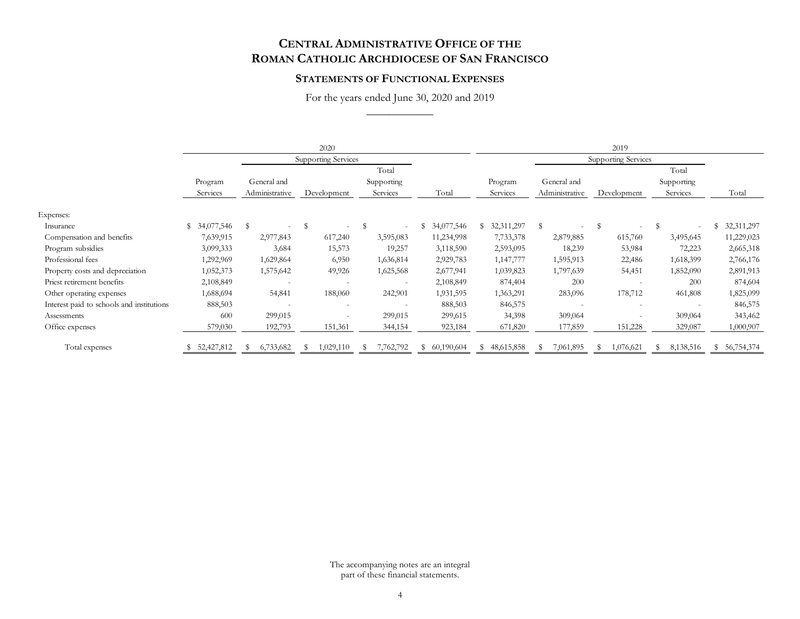#### **STATEMENTS OF FUNCTIONAL EXPENSES**

For the years ended June 30, 2020 and 2019 \_\_\_\_\_\_\_\_\_\_\_\_

|                                           |                     |                               | 2020                       |                                 |              |                     |                               | 2019                       |                                 |               |
|-------------------------------------------|---------------------|-------------------------------|----------------------------|---------------------------------|--------------|---------------------|-------------------------------|----------------------------|---------------------------------|---------------|
|                                           |                     |                               | <b>Supporting Services</b> |                                 |              |                     |                               | <b>Supporting Services</b> |                                 |               |
|                                           | Program<br>Services | General and<br>Administrative | Development                | Total<br>Supporting<br>Services | Total        | Program<br>Services | General and<br>Administrative | Development                | Total<br>Supporting<br>Services | Total         |
| Expenses:                                 |                     |                               |                            |                                 |              |                     |                               |                            |                                 |               |
| Insurance                                 | \$34,077,546        | - \$                          | S                          |                                 | \$34,077,546 | \$32,311,297        | S                             | $\mathbb{S}$               | S<br>$\overline{\phantom{a}}$   | \$ 32,311,297 |
| Compensation and benefits                 | 7,639,915           | 2,977,843                     | 617,240                    | 3,595,083                       | 11,234,998   | 7,733,378           | 2,879,885                     | 615,760                    | 3,495,645                       | 11,229,023    |
| Program subsidies                         | 3,099,333           | 3,684                         | 15,573                     | 19,257                          | 3,118,590    | 2,593,095           | 18,239                        | 53,984                     | 72,223                          | 2,665,318     |
| Professional fees                         | 1,292,969           | 1,629,864                     | 6,950                      | 1,636,814                       | 2,929,783    | 1,147,777           | 1,595,913                     | 22,486                     | 1,618,399                       | 2,766,176     |
| Property costs and depreciation           | 1,052,373           | 1,575,642                     | 49,926                     | 1,625,568                       | 2,677,941    | 1,039,823           | 1,797,639                     | 54,451                     | 1,852,090                       | 2,891,913     |
| Priest retirement benefits                | 2,108,849           |                               |                            |                                 | 2,108,849    | 874,404             | 200                           |                            | 200                             | 874,604       |
| Other operating expenses                  | 1,688,694           | 54,841                        | 188,060                    | 242,901                         | 1,931,595    | 1,363,291           | 283,096                       | 178,712                    | 461,808                         | 1,825,099     |
| Interest paid to schools and institutions | 888,503             |                               |                            |                                 | 888,503      | 846,575             |                               |                            |                                 | 846,575       |
| Assessments                               | 600                 | 299,015                       |                            | 299,015                         | 299,615      | 34,398              | 309,064                       |                            | 309,064                         | 343,462       |
| Office expenses                           | 579,030             | 192,793                       | 151,361                    | 344,154                         | 923,184      | 671,820             | 177,859                       | 151,228                    | 329,087                         | 1,000,907     |
| Total expenses                            | 52,427,812          | 6,733,682                     | 1,029,110<br>N.            | 7,762,792                       | \$60,190,604 | \$48,615,858        | 7,061,895                     | 1,076,621                  | 8,138,516                       | \$ 56,754,374 |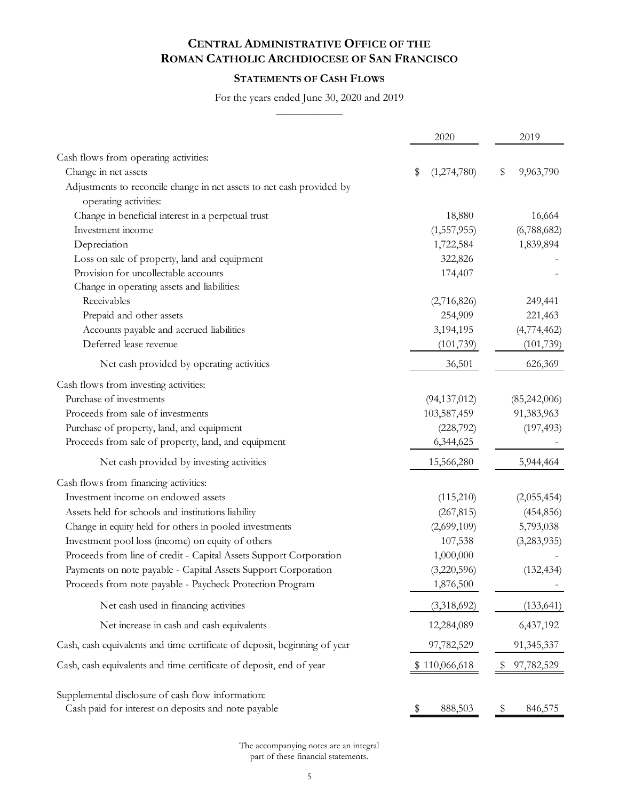# **STATEMENTS OF CASH FLOWS**

For the years ended June 30, 2020 and 2019

 $\overline{\phantom{a}}$ 

|                                                                           | 2020              | 2019            |
|---------------------------------------------------------------------------|-------------------|-----------------|
| Cash flows from operating activities:                                     |                   |                 |
| Change in net assets                                                      | \$<br>(1,274,780) | \$<br>9,963,790 |
| Adjustments to reconcile change in net assets to net cash provided by     |                   |                 |
| operating activities:                                                     |                   |                 |
| Change in beneficial interest in a perpetual trust                        | 18,880            | 16,664          |
| Investment income                                                         | (1,557,955)       | (6,788,682)     |
| Depreciation                                                              | 1,722,584         | 1,839,894       |
| Loss on sale of property, land and equipment                              | 322,826           |                 |
| Provision for uncollectable accounts                                      | 174,407           |                 |
| Change in operating assets and liabilities:                               |                   |                 |
| Receivables                                                               | (2,716,826)       | 249,441         |
| Prepaid and other assets                                                  | 254,909           | 221,463         |
| Accounts payable and accrued liabilities                                  | 3,194,195         | (4,774,462)     |
| Deferred lease revenue                                                    | (101, 739)        | (101, 739)      |
| Net cash provided by operating activities                                 | 36,501            | 626,369         |
| Cash flows from investing activities:                                     |                   |                 |
| Purchase of investments                                                   | (94, 137, 012)    | (85,242,006)    |
| Proceeds from sale of investments                                         | 103,587,459       | 91,383,963      |
| Purchase of property, land, and equipment                                 | (228, 792)        | (197, 493)      |
| Proceeds from sale of property, land, and equipment                       | 6,344,625         |                 |
| Net cash provided by investing activities                                 | 15,566,280        | 5,944,464       |
| Cash flows from financing activities:                                     |                   |                 |
| Investment income on endowed assets                                       | (115,210)         | (2,055,454)     |
| Assets held for schools and institutions liability                        | (267, 815)        | (454, 856)      |
| Change in equity held for others in pooled investments                    | (2,699,109)       | 5,793,038       |
| Investment pool loss (income) on equity of others                         | 107,538           | (3,283,935)     |
| Proceeds from line of credit - Capital Assets Support Corporation         | 1,000,000         |                 |
| Payments on note payable - Capital Assets Support Corporation             | (3,220,596)       | (132, 434)      |
| Proceeds from note payable - Paycheck Protection Program                  | 1,876,500         |                 |
| Net cash used in financing activities                                     | (3,318,692)       | (133, 641)      |
| Net increase in cash and cash equivalents                                 | 12,284,089        | 6,437,192       |
| Cash, cash equivalents and time certificate of deposit, beginning of year | 97,782,529        | 91,345,337      |
| Cash, cash equivalents and time certificate of deposit, end of year       | \$110,066,618     | 97,782,529      |
| Supplemental disclosure of cash flow information:                         |                   |                 |
| Cash paid for interest on deposits and note payable                       | 888,503<br>P      | 846,575<br>Ş    |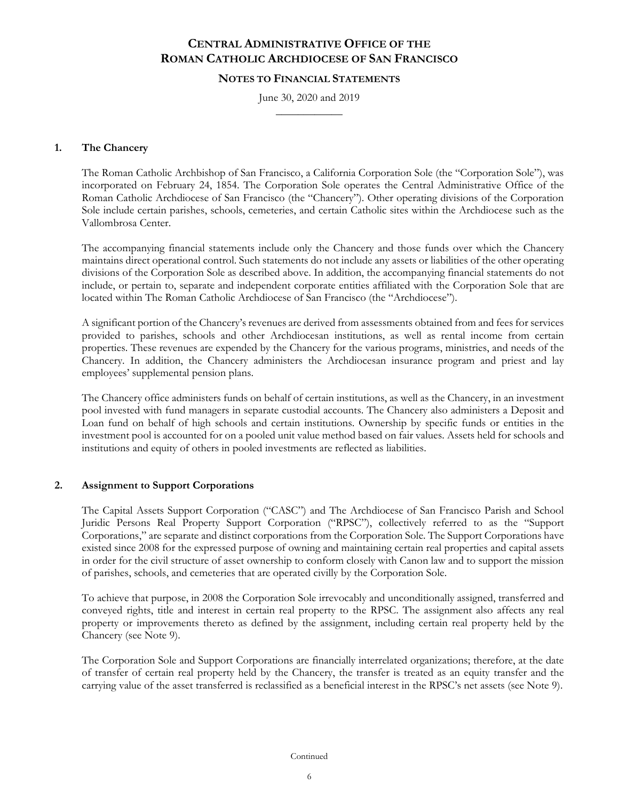#### **NOTES TO FINANCIAL STATEMENTS**

June 30, 2020 and 2019  $\frac{1}{2}$ 

### **1. The Chancery**

The Roman Catholic Archbishop of San Francisco, a California Corporation Sole (the "Corporation Sole"), was incorporated on February 24, 1854. The Corporation Sole operates the Central Administrative Office of the Roman Catholic Archdiocese of San Francisco (the "Chancery"). Other operating divisions of the Corporation Sole include certain parishes, schools, cemeteries, and certain Catholic sites within the Archdiocese such as the Vallombrosa Center.

The accompanying financial statements include only the Chancery and those funds over which the Chancery maintains direct operational control. Such statements do not include any assets or liabilities of the other operating divisions of the Corporation Sole as described above. In addition, the accompanying financial statements do not include, or pertain to, separate and independent corporate entities affiliated with the Corporation Sole that are located within The Roman Catholic Archdiocese of San Francisco (the "Archdiocese").

A significant portion of the Chancery's revenues are derived from assessments obtained from and fees for services provided to parishes, schools and other Archdiocesan institutions, as well as rental income from certain properties. These revenues are expended by the Chancery for the various programs, ministries, and needs of the Chancery. In addition, the Chancery administers the Archdiocesan insurance program and priest and lay employees' supplemental pension plans.

The Chancery office administers funds on behalf of certain institutions, as well as the Chancery, in an investment pool invested with fund managers in separate custodial accounts. The Chancery also administers a Deposit and Loan fund on behalf of high schools and certain institutions. Ownership by specific funds or entities in the investment pool is accounted for on a pooled unit value method based on fair values. Assets held for schools and institutions and equity of others in pooled investments are reflected as liabilities.

#### **2. Assignment to Support Corporations**

The Capital Assets Support Corporation ("CASC") and The Archdiocese of San Francisco Parish and School Juridic Persons Real Property Support Corporation ("RPSC"), collectively referred to as the "Support Corporations," are separate and distinct corporations from the Corporation Sole. The Support Corporations have existed since 2008 for the expressed purpose of owning and maintaining certain real properties and capital assets in order for the civil structure of asset ownership to conform closely with Canon law and to support the mission of parishes, schools, and cemeteries that are operated civilly by the Corporation Sole.

To achieve that purpose, in 2008 the Corporation Sole irrevocably and unconditionally assigned, transferred and conveyed rights, title and interest in certain real property to the RPSC. The assignment also affects any real property or improvements thereto as defined by the assignment, including certain real property held by the Chancery (see Note 9).

The Corporation Sole and Support Corporations are financially interrelated organizations; therefore, at the date of transfer of certain real property held by the Chancery, the transfer is treated as an equity transfer and the carrying value of the asset transferred is reclassified as a beneficial interest in the RPSC's net assets (see Note 9).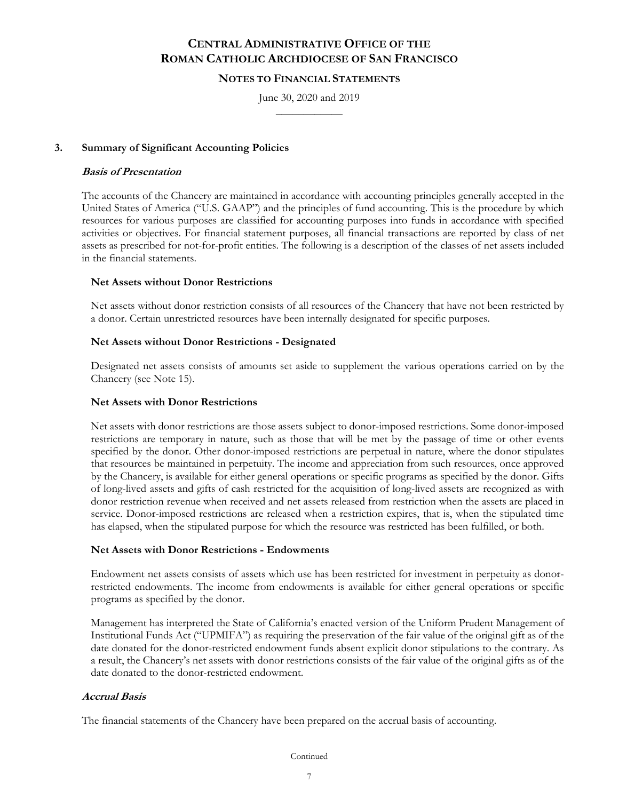### **NOTES TO FINANCIAL STATEMENTS**

June 30, 2020 and 2019  $\frac{1}{2}$ 

### **3. Summary of Significant Accounting Policies**

#### **Basis of Presentation**

The accounts of the Chancery are maintained in accordance with accounting principles generally accepted in the United States of America ("U.S. GAAP") and the principles of fund accounting. This is the procedure by which resources for various purposes are classified for accounting purposes into funds in accordance with specified activities or objectives. For financial statement purposes, all financial transactions are reported by class of net assets as prescribed for not-for-profit entities. The following is a description of the classes of net assets included in the financial statements.

### **Net Assets without Donor Restrictions**

Net assets without donor restriction consists of all resources of the Chancery that have not been restricted by a donor. Certain unrestricted resources have been internally designated for specific purposes.

### **Net Assets without Donor Restrictions - Designated**

Designated net assets consists of amounts set aside to supplement the various operations carried on by the Chancery (see Note 15).

#### **Net Assets with Donor Restrictions**

Net assets with donor restrictions are those assets subject to donor-imposed restrictions. Some donor-imposed restrictions are temporary in nature, such as those that will be met by the passage of time or other events specified by the donor. Other donor-imposed restrictions are perpetual in nature, where the donor stipulates that resources be maintained in perpetuity. The income and appreciation from such resources, once approved by the Chancery, is available for either general operations or specific programs as specified by the donor. Gifts of long-lived assets and gifts of cash restricted for the acquisition of long-lived assets are recognized as with donor restriction revenue when received and net assets released from restriction when the assets are placed in service. Donor-imposed restrictions are released when a restriction expires, that is, when the stipulated time has elapsed, when the stipulated purpose for which the resource was restricted has been fulfilled, or both.

#### **Net Assets with Donor Restrictions - Endowments**

Endowment net assets consists of assets which use has been restricted for investment in perpetuity as donorrestricted endowments. The income from endowments is available for either general operations or specific programs as specified by the donor.

Management has interpreted the State of California's enacted version of the Uniform Prudent Management of Institutional Funds Act ("UPMIFA") as requiring the preservation of the fair value of the original gift as of the date donated for the donor-restricted endowment funds absent explicit donor stipulations to the contrary. As a result, the Chancery's net assets with donor restrictions consists of the fair value of the original gifts as of the date donated to the donor-restricted endowment.

#### **Accrual Basis**

The financial statements of the Chancery have been prepared on the accrual basis of accounting.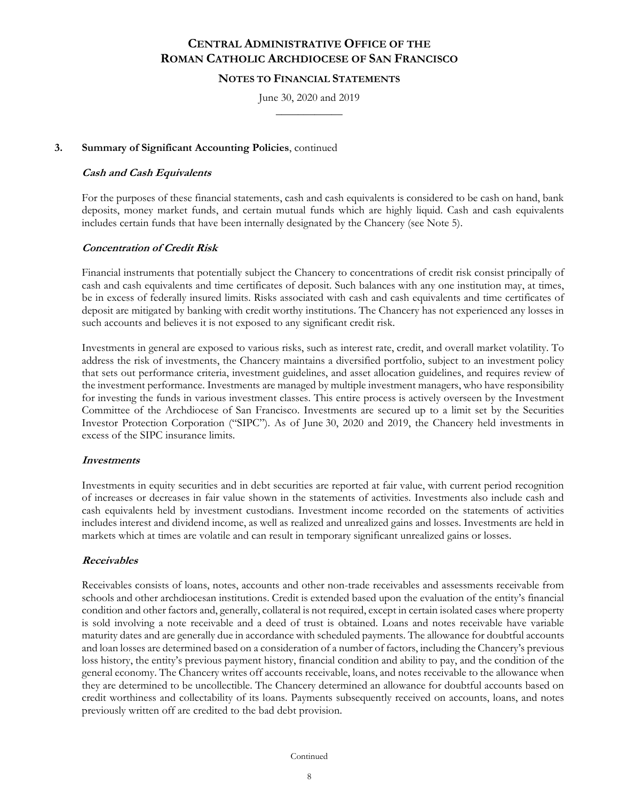#### **NOTES TO FINANCIAL STATEMENTS**

June 30, 2020 and 2019  $\frac{1}{2}$ 

### **3. Summary of Significant Accounting Policies**, continued

#### **Cash and Cash Equivalents**

For the purposes of these financial statements, cash and cash equivalents is considered to be cash on hand, bank deposits, money market funds, and certain mutual funds which are highly liquid. Cash and cash equivalents includes certain funds that have been internally designated by the Chancery (see Note 5).

## **Concentration of Credit Risk**

Financial instruments that potentially subject the Chancery to concentrations of credit risk consist principally of cash and cash equivalents and time certificates of deposit. Such balances with any one institution may, at times, be in excess of federally insured limits. Risks associated with cash and cash equivalents and time certificates of deposit are mitigated by banking with credit worthy institutions. The Chancery has not experienced any losses in such accounts and believes it is not exposed to any significant credit risk.

Investments in general are exposed to various risks, such as interest rate, credit, and overall market volatility. To address the risk of investments, the Chancery maintains a diversified portfolio, subject to an investment policy that sets out performance criteria, investment guidelines, and asset allocation guidelines, and requires review of the investment performance. Investments are managed by multiple investment managers, who have responsibility for investing the funds in various investment classes. This entire process is actively overseen by the Investment Committee of the Archdiocese of San Francisco. Investments are secured up to a limit set by the Securities Investor Protection Corporation ("SIPC"). As of June 30, 2020 and 2019, the Chancery held investments in excess of the SIPC insurance limits.

#### **Investments**

Investments in equity securities and in debt securities are reported at fair value, with current period recognition of increases or decreases in fair value shown in the statements of activities. Investments also include cash and cash equivalents held by investment custodians. Investment income recorded on the statements of activities includes interest and dividend income, as well as realized and unrealized gains and losses. Investments are held in markets which at times are volatile and can result in temporary significant unrealized gains or losses.

#### **Receivables**

Receivables consists of loans, notes, accounts and other non-trade receivables and assessments receivable from schools and other archdiocesan institutions. Credit is extended based upon the evaluation of the entity's financial condition and other factors and, generally, collateral is not required, except in certain isolated cases where property is sold involving a note receivable and a deed of trust is obtained. Loans and notes receivable have variable maturity dates and are generally due in accordance with scheduled payments. The allowance for doubtful accounts and loan losses are determined based on a consideration of a number of factors, including the Chancery's previous loss history, the entity's previous payment history, financial condition and ability to pay, and the condition of the general economy. The Chancery writes off accounts receivable, loans, and notes receivable to the allowance when they are determined to be uncollectible. The Chancery determined an allowance for doubtful accounts based on credit worthiness and collectability of its loans. Payments subsequently received on accounts, loans, and notes previously written off are credited to the bad debt provision.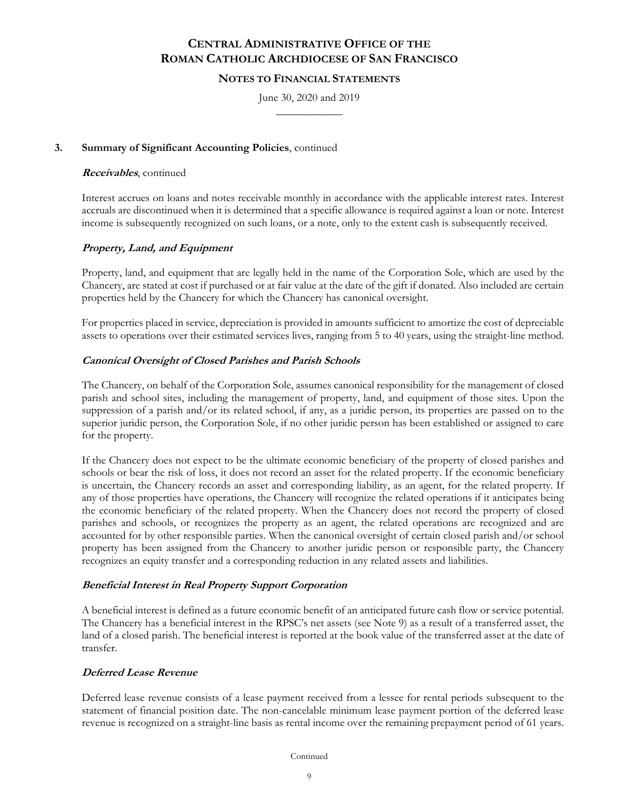### **NOTES TO FINANCIAL STATEMENTS**

June 30, 2020 and 2019  $\frac{1}{2}$ 

### **3. Summary of Significant Accounting Policies**, continued

#### **Receivables**, continued

Interest accrues on loans and notes receivable monthly in accordance with the applicable interest rates. Interest accruals are discontinued when it is determined that a specific allowance is required against a loan or note. Interest income is subsequently recognized on such loans, or a note, only to the extent cash is subsequently received.

### **Property, Land, and Equipment**

Property, land, and equipment that are legally held in the name of the Corporation Sole, which are used by the Chancery, are stated at cost if purchased or at fair value at the date of the gift if donated. Also included are certain properties held by the Chancery for which the Chancery has canonical oversight.

For properties placed in service, depreciation is provided in amounts sufficient to amortize the cost of depreciable assets to operations over their estimated services lives, ranging from 5 to 40 years, using the straight-line method.

#### **Canonical Oversight of Closed Parishes and Parish Schools**

The Chancery, on behalf of the Corporation Sole, assumes canonical responsibility for the management of closed parish and school sites, including the management of property, land, and equipment of those sites. Upon the suppression of a parish and/or its related school, if any, as a juridic person, its properties are passed on to the superior juridic person, the Corporation Sole, if no other juridic person has been established or assigned to care for the property.

If the Chancery does not expect to be the ultimate economic beneficiary of the property of closed parishes and schools or bear the risk of loss, it does not record an asset for the related property. If the economic beneficiary is uncertain, the Chancery records an asset and corresponding liability, as an agent, for the related property. If any of those properties have operations, the Chancery will recognize the related operations if it anticipates being the economic beneficiary of the related property. When the Chancery does not record the property of closed parishes and schools, or recognizes the property as an agent, the related operations are recognized and are accounted for by other responsible parties. When the canonical oversight of certain closed parish and/or school property has been assigned from the Chancery to another juridic person or responsible party, the Chancery recognizes an equity transfer and a corresponding reduction in any related assets and liabilities.

#### **Beneficial Interest in Real Property Support Corporation**

A beneficial interest is defined as a future economic benefit of an anticipated future cash flow or service potential. The Chancery has a beneficial interest in the RPSC's net assets (see Note 9) as a result of a transferred asset, the land of a closed parish. The beneficial interest is reported at the book value of the transferred asset at the date of transfer.

## **Deferred Lease Revenue**

Deferred lease revenue consists of a lease payment received from a lessee for rental periods subsequent to the statement of financial position date. The non-cancelable minimum lease payment portion of the deferred lease revenue is recognized on a straight-line basis as rental income over the remaining prepayment period of 61 years.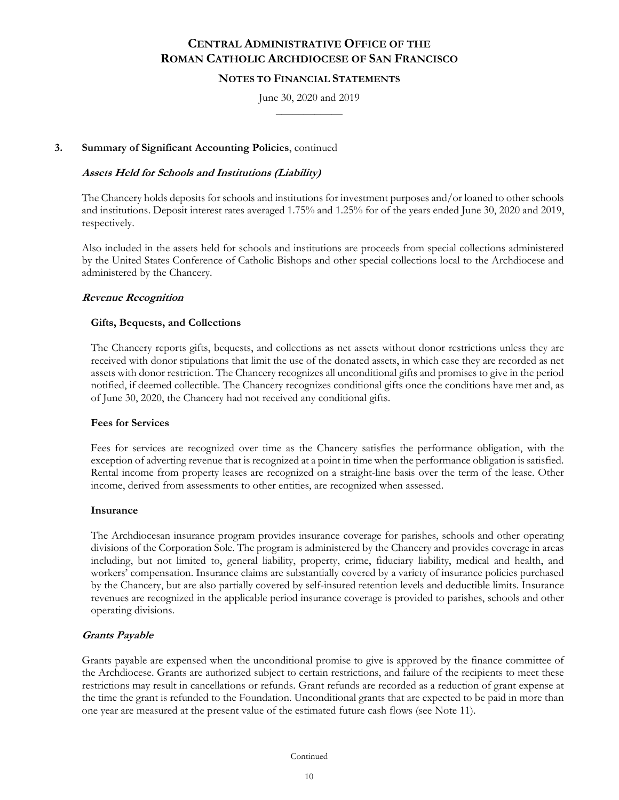### **NOTES TO FINANCIAL STATEMENTS**

June 30, 2020 and 2019  $\frac{1}{2}$ 

### **3. Summary of Significant Accounting Policies**, continued

### **Assets Held for Schools and Institutions (Liability)**

The Chancery holds deposits for schools and institutions for investment purposes and/or loaned to other schools and institutions. Deposit interest rates averaged 1.75% and 1.25% for of the years ended June 30, 2020 and 2019, respectively.

Also included in the assets held for schools and institutions are proceeds from special collections administered by the United States Conference of Catholic Bishops and other special collections local to the Archdiocese and administered by the Chancery.

### **Revenue Recognition**

### **Gifts, Bequests, and Collections**

The Chancery reports gifts, bequests, and collections as net assets without donor restrictions unless they are received with donor stipulations that limit the use of the donated assets, in which case they are recorded as net assets with donor restriction. The Chancery recognizes all unconditional gifts and promises to give in the period notified, if deemed collectible. The Chancery recognizes conditional gifts once the conditions have met and, as of June 30, 2020, the Chancery had not received any conditional gifts.

#### **Fees for Services**

Fees for services are recognized over time as the Chancery satisfies the performance obligation, with the exception of adverting revenue that is recognized at a point in time when the performance obligation is satisfied. Rental income from property leases are recognized on a straight-line basis over the term of the lease. Other income, derived from assessments to other entities, are recognized when assessed.

#### **Insurance**

The Archdiocesan insurance program provides insurance coverage for parishes, schools and other operating divisions of the Corporation Sole. The program is administered by the Chancery and provides coverage in areas including, but not limited to, general liability, property, crime, fiduciary liability, medical and health, and workers' compensation. Insurance claims are substantially covered by a variety of insurance policies purchased by the Chancery, but are also partially covered by self-insured retention levels and deductible limits. Insurance revenues are recognized in the applicable period insurance coverage is provided to parishes, schools and other operating divisions.

#### **Grants Payable**

Grants payable are expensed when the unconditional promise to give is approved by the finance committee of the Archdiocese. Grants are authorized subject to certain restrictions, and failure of the recipients to meet these restrictions may result in cancellations or refunds. Grant refunds are recorded as a reduction of grant expense at the time the grant is refunded to the Foundation. Unconditional grants that are expected to be paid in more than one year are measured at the present value of the estimated future cash flows (see Note 11).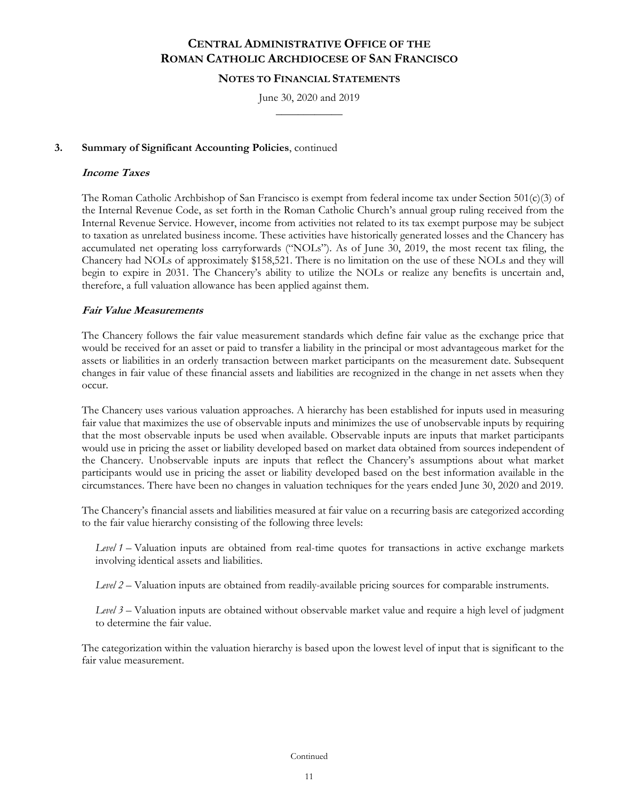#### **NOTES TO FINANCIAL STATEMENTS**

June 30, 2020 and 2019  $\frac{1}{2}$ 

### **3. Summary of Significant Accounting Policies**, continued

#### **Income Taxes**

The Roman Catholic Archbishop of San Francisco is exempt from federal income tax under Section 501(c)(3) of the Internal Revenue Code, as set forth in the Roman Catholic Church's annual group ruling received from the Internal Revenue Service. However, income from activities not related to its tax exempt purpose may be subject to taxation as unrelated business income. These activities have historically generated losses and the Chancery has accumulated net operating loss carryforwards ("NOLs"). As of June 30, 2019, the most recent tax filing, the Chancery had NOLs of approximately \$158,521. There is no limitation on the use of these NOLs and they will begin to expire in 2031. The Chancery's ability to utilize the NOLs or realize any benefits is uncertain and, therefore, a full valuation allowance has been applied against them.

#### **Fair Value Measurements**

The Chancery follows the fair value measurement standards which define fair value as the exchange price that would be received for an asset or paid to transfer a liability in the principal or most advantageous market for the assets or liabilities in an orderly transaction between market participants on the measurement date. Subsequent changes in fair value of these financial assets and liabilities are recognized in the change in net assets when they occur.

The Chancery uses various valuation approaches. A hierarchy has been established for inputs used in measuring fair value that maximizes the use of observable inputs and minimizes the use of unobservable inputs by requiring that the most observable inputs be used when available. Observable inputs are inputs that market participants would use in pricing the asset or liability developed based on market data obtained from sources independent of the Chancery. Unobservable inputs are inputs that reflect the Chancery's assumptions about what market participants would use in pricing the asset or liability developed based on the best information available in the circumstances. There have been no changes in valuation techniques for the years ended June 30, 2020 and 2019.

The Chancery's financial assets and liabilities measured at fair value on a recurring basis are categorized according to the fair value hierarchy consisting of the following three levels:

*Level 1* – Valuation inputs are obtained from real-time quotes for transactions in active exchange markets involving identical assets and liabilities.

*Level 2* – Valuation inputs are obtained from readily-available pricing sources for comparable instruments.

*Level 3* – Valuation inputs are obtained without observable market value and require a high level of judgment to determine the fair value.

The categorization within the valuation hierarchy is based upon the lowest level of input that is significant to the fair value measurement.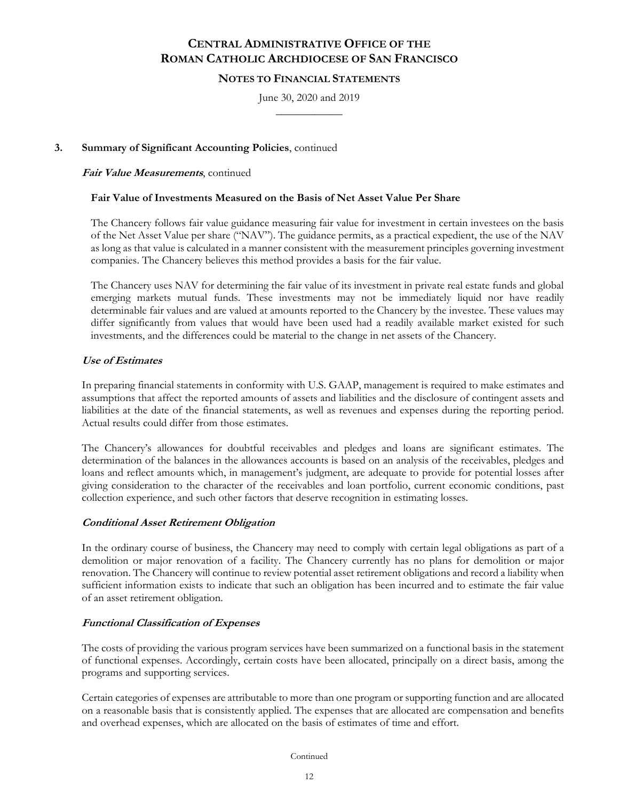### **NOTES TO FINANCIAL STATEMENTS**

June 30, 2020 and 2019  $\frac{1}{2}$ 

### **3. Summary of Significant Accounting Policies**, continued

#### **Fair Value Measurements**, continued

### **Fair Value of Investments Measured on the Basis of Net Asset Value Per Share**

The Chancery follows fair value guidance measuring fair value for investment in certain investees on the basis of the Net Asset Value per share ("NAV"). The guidance permits, as a practical expedient, the use of the NAV as long as that value is calculated in a manner consistent with the measurement principles governing investment companies. The Chancery believes this method provides a basis for the fair value.

The Chancery uses NAV for determining the fair value of its investment in private real estate funds and global emerging markets mutual funds. These investments may not be immediately liquid nor have readily determinable fair values and are valued at amounts reported to the Chancery by the investee. These values may differ significantly from values that would have been used had a readily available market existed for such investments, and the differences could be material to the change in net assets of the Chancery.

### **Use of Estimates**

In preparing financial statements in conformity with U.S. GAAP, management is required to make estimates and assumptions that affect the reported amounts of assets and liabilities and the disclosure of contingent assets and liabilities at the date of the financial statements, as well as revenues and expenses during the reporting period. Actual results could differ from those estimates.

The Chancery's allowances for doubtful receivables and pledges and loans are significant estimates. The determination of the balances in the allowances accounts is based on an analysis of the receivables, pledges and loans and reflect amounts which, in management's judgment, are adequate to provide for potential losses after giving consideration to the character of the receivables and loan portfolio, current economic conditions, past collection experience, and such other factors that deserve recognition in estimating losses.

#### **Conditional Asset Retirement Obligation**

In the ordinary course of business, the Chancery may need to comply with certain legal obligations as part of a demolition or major renovation of a facility. The Chancery currently has no plans for demolition or major renovation. The Chancery will continue to review potential asset retirement obligations and record a liability when sufficient information exists to indicate that such an obligation has been incurred and to estimate the fair value of an asset retirement obligation.

## **Functional Classification of Expenses**

The costs of providing the various program services have been summarized on a functional basis in the statement of functional expenses. Accordingly, certain costs have been allocated, principally on a direct basis, among the programs and supporting services.

Certain categories of expenses are attributable to more than one program or supporting function and are allocated on a reasonable basis that is consistently applied. The expenses that are allocated are compensation and benefits and overhead expenses, which are allocated on the basis of estimates of time and effort.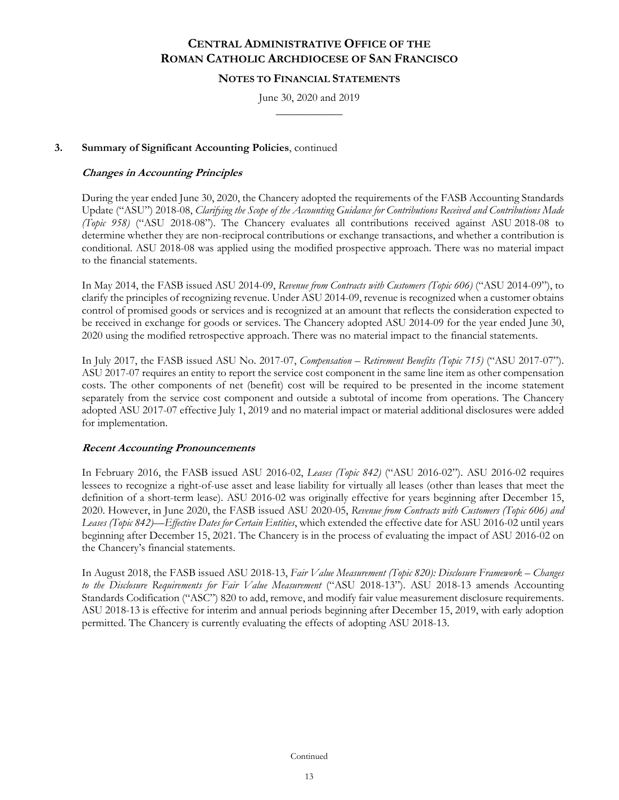### **NOTES TO FINANCIAL STATEMENTS**

June 30, 2020 and 2019  $\frac{1}{2}$ 

### **3. Summary of Significant Accounting Policies**, continued

### **Changes in Accounting Principles**

During the year ended June 30, 2020, the Chancery adopted the requirements of the FASB Accounting Standards Update ("ASU") 2018-08, *Clarifying the Scope of the Accounting Guidance for Contributions Received and Contributions Made (Topic 958)* ("ASU 2018-08"). The Chancery evaluates all contributions received against ASU 2018-08 to determine whether they are non-reciprocal contributions or exchange transactions, and whether a contribution is conditional. ASU 2018-08 was applied using the modified prospective approach. There was no material impact to the financial statements.

In May 2014, the FASB issued ASU 2014-09, *Revenue from Contracts with Customers (Topic 606)* ("ASU 2014-09"), to clarify the principles of recognizing revenue. Under ASU 2014-09, revenue is recognized when a customer obtains control of promised goods or services and is recognized at an amount that reflects the consideration expected to be received in exchange for goods or services. The Chancery adopted ASU 2014-09 for the year ended June 30, 2020 using the modified retrospective approach. There was no material impact to the financial statements.

In July 2017, the FASB issued ASU No. 2017-07, *Compensation – Retirement Benefits (Topic 715)* ("ASU 2017-07"). ASU 2017-07 requires an entity to report the service cost component in the same line item as other compensation costs. The other components of net (benefit) cost will be required to be presented in the income statement separately from the service cost component and outside a subtotal of income from operations. The Chancery adopted ASU 2017-07 effective July 1, 2019 and no material impact or material additional disclosures were added for implementation.

#### **Recent Accounting Pronouncements**

In February 2016, the FASB issued ASU 2016-02, *Leases (Topic 842)* ("ASU 2016-02"). ASU 2016-02 requires lessees to recognize a right-of-use asset and lease liability for virtually all leases (other than leases that meet the definition of a short-term lease). ASU 2016-02 was originally effective for years beginning after December 15, 2020. However, in June 2020, the FASB issued ASU 2020-05, *Revenue from Contracts with Customers (Topic 606) and Leases (Topic 842)—Effective Dates for Certain Entities*, which extended the effective date for ASU 2016-02 until years beginning after December 15, 2021. The Chancery is in the process of evaluating the impact of ASU 2016-02 on the Chancery's financial statements.

In August 2018, the FASB issued ASU 2018-13, *Fair Value Measurement (Topic 820): Disclosure Framework – Changes to the Disclosure Requirements for Fair Value Measurement* ("ASU 2018-13"). ASU 2018-13 amends Accounting Standards Codification ("ASC") 820 to add, remove, and modify fair value measurement disclosure requirements. ASU 2018-13 is effective for interim and annual periods beginning after December 15, 2019, with early adoption permitted. The Chancery is currently evaluating the effects of adopting ASU 2018-13.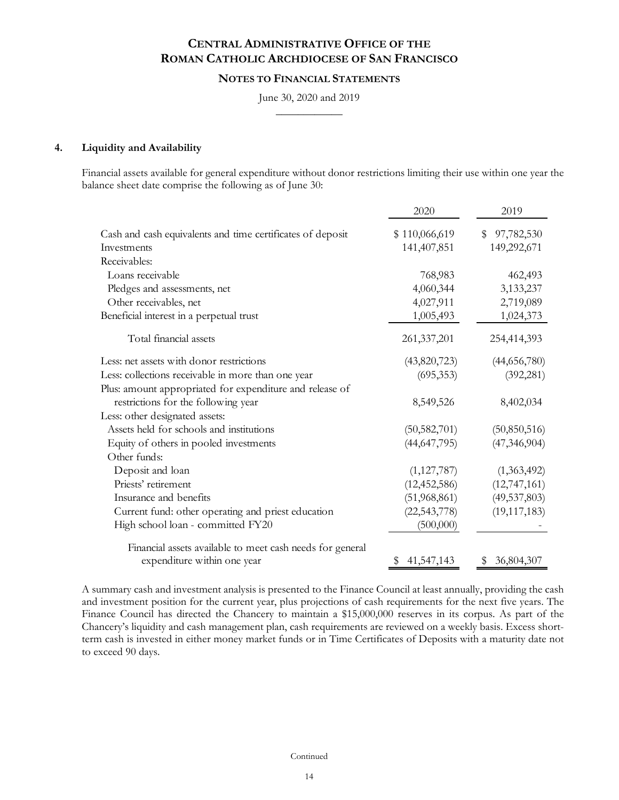### **NOTES TO FINANCIAL STATEMENTS**

June 30, 2020 and 2019  $\frac{1}{2}$ 

#### **4. Liquidity and Availability**

Financial assets available for general expenditure without donor restrictions limiting their use within one year the balance sheet date comprise the following as of June 30:

|                                                            | 2020           | 2019             |
|------------------------------------------------------------|----------------|------------------|
| Cash and cash equivalents and time certificates of deposit | \$110,066,619  | 97,782,530<br>\$ |
| Investments                                                | 141,407,851    | 149,292,671      |
| Receivables:                                               |                |                  |
| Loans receivable                                           | 768,983        | 462,493          |
| Pledges and assessments, net                               | 4,060,344      | 3,133,237        |
| Other receivables, net                                     | 4,027,911      | 2,719,089        |
| Beneficial interest in a perpetual trust                   | 1,005,493      | 1,024,373        |
| Total financial assets                                     | 261, 337, 201  | 254,414,393      |
| Less: net assets with donor restrictions                   | (43,820,723)   | (44,656,780)     |
| Less: collections receivable in more than one year         | (695, 353)     | (392, 281)       |
| Plus: amount appropriated for expenditure and release of   |                |                  |
| restrictions for the following year                        | 8,549,526      | 8,402,034        |
| Less: other designated assets:                             |                |                  |
| Assets held for schools and institutions                   | (50, 582, 701) | (50, 850, 516)   |
| Equity of others in pooled investments                     | (44, 647, 795) | (47, 346, 904)   |
| Other funds:                                               |                |                  |
| Deposit and loan                                           | (1,127,787)    | (1,363,492)      |
| Priests' retirement                                        | (12, 452, 586) | (12, 747, 161)   |
| Insurance and benefits                                     | (51,968,861)   | (49, 537, 803)   |
| Current fund: other operating and priest education         | (22, 543, 778) | (19, 117, 183)   |
| High school loan - committed FY20                          | (500,000)      |                  |
| Financial assets available to meet cash needs for general  |                |                  |
| expenditure within one year                                | \$41,547,143   | \$36,804,307     |

A summary cash and investment analysis is presented to the Finance Council at least annually, providing the cash and investment position for the current year, plus projections of cash requirements for the next five years. The Finance Council has directed the Chancery to maintain a \$15,000,000 reserves in its corpus. As part of the Chancery's liquidity and cash management plan, cash requirements are reviewed on a weekly basis. Excess shortterm cash is invested in either money market funds or in Time Certificates of Deposits with a maturity date not to exceed 90 days.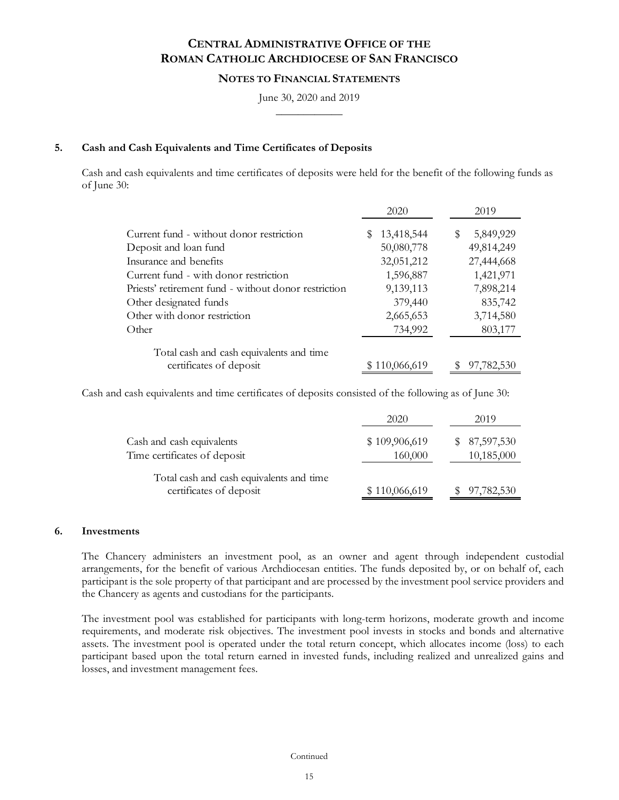### **NOTES TO FINANCIAL STATEMENTS**

June 30, 2020 and 2019  $\frac{1}{2}$ 

#### **5. Cash and Cash Equivalents and Time Certificates of Deposits**

Cash and cash equivalents and time certificates of deposits were held for the benefit of the following funds as of June 30:

|                                                      | 2020            | 2019            |
|------------------------------------------------------|-----------------|-----------------|
| Current fund - without donor restriction             | 13,418,544<br>S | 5,849,929<br>\$ |
| Deposit and loan fund                                | 50,080,778      | 49,814,249      |
| Insurance and benefits                               | 32,051,212      | 27,444,668      |
| Current fund - with donor restriction                | 1,596,887       | 1,421,971       |
| Priests' retirement fund - without donor restriction | 9,139,113       | 7,898,214       |
| Other designated funds                               | 379,440         | 835,742         |
| Other with donor restriction                         | 2,665,653       | 3,714,580       |
| Other                                                | 734,992         | 803,177         |
| Total cash and cash equivalents and time             |                 |                 |
| certificates of deposit                              | \$110,066,619   | 97,782,530      |

Cash and cash equivalents and time certificates of deposits consisted of the following as of June 30:

|                                                                     | 2020                     | 2019                        |
|---------------------------------------------------------------------|--------------------------|-----------------------------|
| Cash and cash equivalents<br>Time certificates of deposit           | \$109,906,619<br>160,000 | \$ 87,597,530<br>10,185,000 |
| Total cash and cash equivalents and time<br>certificates of deposit | \$110,066,619            | 97,782,530                  |

#### **6. Investments**

The Chancery administers an investment pool, as an owner and agent through independent custodial arrangements, for the benefit of various Archdiocesan entities. The funds deposited by, or on behalf of, each participant is the sole property of that participant and are processed by the investment pool service providers and the Chancery as agents and custodians for the participants.

The investment pool was established for participants with long-term horizons, moderate growth and income requirements, and moderate risk objectives. The investment pool invests in stocks and bonds and alternative assets. The investment pool is operated under the total return concept, which allocates income (loss) to each participant based upon the total return earned in invested funds, including realized and unrealized gains and losses, and investment management fees.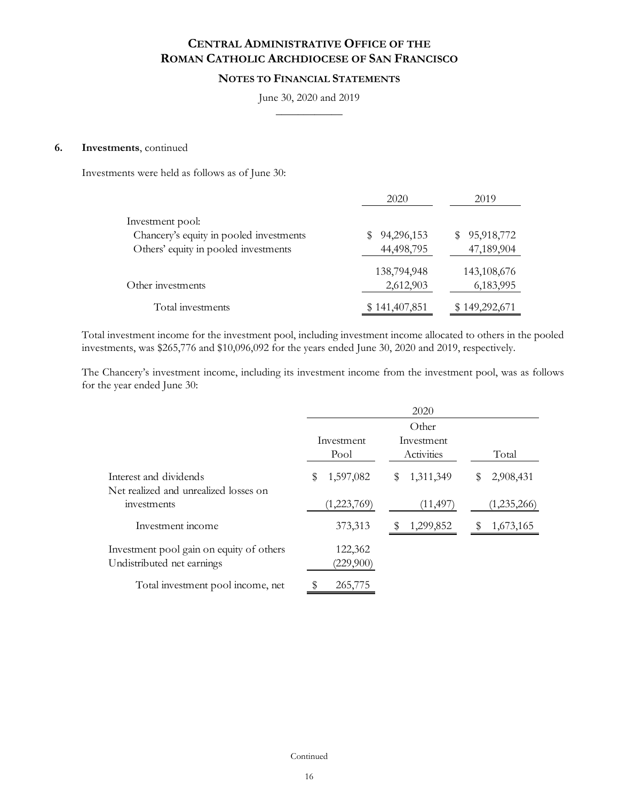## **NOTES TO FINANCIAL STATEMENTS**

#### June 30, 2020 and 2019  $\frac{1}{2}$

#### **6. Investments**, continued

Investments were held as follows as of June 30:

|                                                                                                     | 2020                     | 2019                          |
|-----------------------------------------------------------------------------------------------------|--------------------------|-------------------------------|
| Investment pool:<br>Chancery's equity in pooled investments<br>Others' equity in pooled investments | 94,296,153<br>44,498,795 | 95,918,772<br>S<br>47,189,904 |
| Other investments                                                                                   | 138,794,948<br>2,612,903 | 143,108,676<br>6,183,995      |
| Total investments                                                                                   | \$141,407,851            | \$149,292,671                 |

Total investment income for the investment pool, including investment income allocated to others in the pooled investments, was \$265,776 and \$10,096,092 for the years ended June 30, 2020 and 2019, respectively.

The Chancery's investment income, including its investment income from the investment pool, was as follows for the year ended June 30:

|                                                                        | 2020                 |                          |                 |  |
|------------------------------------------------------------------------|----------------------|--------------------------|-----------------|--|
|                                                                        |                      | Other                    |                 |  |
|                                                                        | Investment<br>Pool   | Investment<br>Activities | Total           |  |
| Interest and dividends<br>Net realized and unrealized losses on        | 1,597,082<br>S       | 1,311,349<br>S           | 2,908,431<br>\$ |  |
| investments                                                            | (1,223,769)          | (11, 497)                | (1,235,266)     |  |
| Investment income                                                      | 373,313              | 1,299,852                | 1,673,165<br>S  |  |
| Investment pool gain on equity of others<br>Undistributed net earnings | 122,362<br>(229,900) |                          |                 |  |
| Total investment pool income, net                                      | 265,775              |                          |                 |  |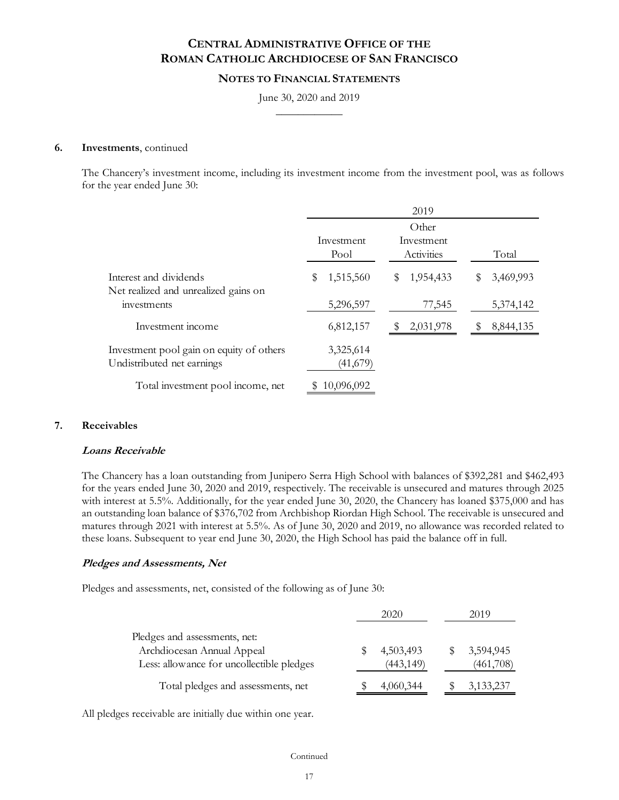## **NOTES TO FINANCIAL STATEMENTS**

June 30, 2020 and 2019  $\frac{1}{2}$ 

#### **6. Investments**, continued

The Chancery's investment income, including its investment income from the investment pool, was as follows for the year ended June 30:

|                                                                        |                       | 2019                     |                |
|------------------------------------------------------------------------|-----------------------|--------------------------|----------------|
|                                                                        |                       | Other                    |                |
|                                                                        | Investment<br>Pool    | Investment<br>Activities | Total          |
| Interest and dividends<br>Net realized and unrealized gains on         | 1,515,560<br>S        | 1,954,433<br>S           | 3,469,993<br>S |
| investments                                                            | 5,296,597             | 77,545                   | 5,374,142      |
| Investment income                                                      | 6,812,157             | 2,031,978                | 8,844,135<br>S |
| Investment pool gain on equity of others<br>Undistributed net earnings | 3,325,614<br>(41,679) |                          |                |
| Total investment pool income, net                                      | 10,096,092            |                          |                |

#### **7. Receivables**

#### **Loans Receivable**

The Chancery has a loan outstanding from Junipero Serra High School with balances of \$392,281 and \$462,493 for the years ended June 30, 2020 and 2019, respectively. The receivable is unsecured and matures through 2025 with interest at 5.5%. Additionally, for the year ended June 30, 2020, the Chancery has loaned \$375,000 and has an outstanding loan balance of \$376,702 from Archbishop Riordan High School. The receivable is unsecured and matures through 2021 with interest at 5.5%. As of June 30, 2020 and 2019, no allowance was recorded related to these loans. Subsequent to year end June 30, 2020, the High School has paid the balance off in full.

#### **Pledges and Assessments, Net**

Pledges and assessments, net, consisted of the following as of June 30:

|                                                                                                          | 2020 |                         | 2019 |                        |
|----------------------------------------------------------------------------------------------------------|------|-------------------------|------|------------------------|
| Pledges and assessments, net:<br>Archdiocesan Annual Appeal<br>Less: allowance for uncollectible pledges |      | 4,503,493<br>(443, 149) |      | 3,594,945<br>(461,708) |
| Total pledges and assessments, net                                                                       |      | 4,060,344               |      | 3,133,237              |

All pledges receivable are initially due within one year.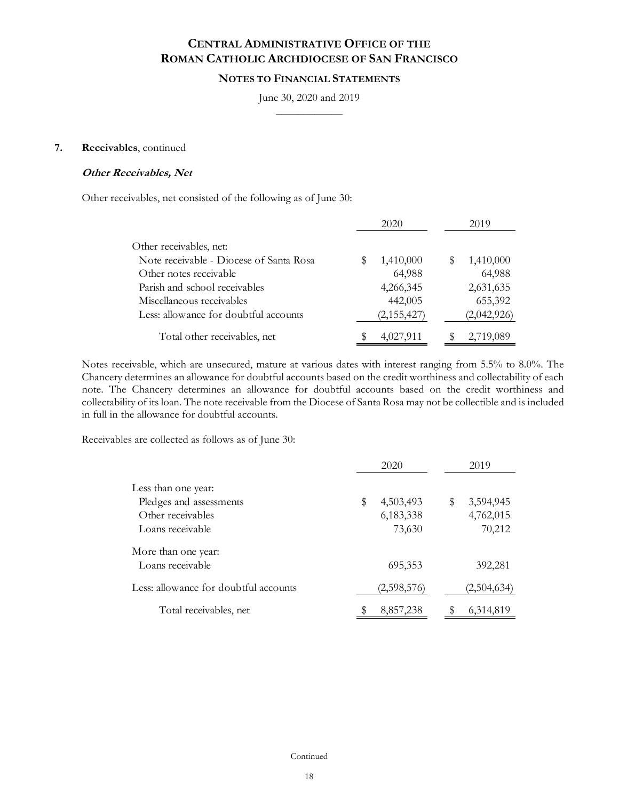### **NOTES TO FINANCIAL STATEMENTS**

June 30, 2020 and 2019  $\frac{1}{2}$ 

#### **7. Receivables**, continued

#### **Other Receivables, Net**

Other receivables, net consisted of the following as of June 30:

|                                         | 2020        | 2019           |
|-----------------------------------------|-------------|----------------|
| Other receivables, net:                 |             |                |
| Note receivable - Diocese of Santa Rosa | 1,410,000   | 1,410,000<br>S |
| Other notes receivable                  | 64,988      | 64,988         |
| Parish and school receivables           | 4,266,345   | 2,631,635      |
| Miscellaneous receivables               | 442,005     | 655,392        |
| Less: allowance for doubtful accounts   | (2,155,427) | (2,042,926)    |
| Total other receivables, net            | 4,027,911   | 2,719,089      |

Notes receivable, which are unsecured, mature at various dates with interest ranging from 5.5% to 8.0%. The Chancery determines an allowance for doubtful accounts based on the credit worthiness and collectability of each note. The Chancery determines an allowance for doubtful accounts based on the credit worthiness and collectability of its loan. The note receivable from the Diocese of Santa Rosa may not be collectible and is included in full in the allowance for doubtful accounts.

Receivables are collected as follows as of June 30:

|                                       | 2020            |    | 2019        |
|---------------------------------------|-----------------|----|-------------|
| Less than one year:                   |                 |    |             |
| Pledges and assessments               | \$<br>4,503,493 | \$ | 3,594,945   |
| Other receivables                     | 6,183,338       |    | 4,762,015   |
| Loans receivable                      | 73,630          |    | 70,212      |
| More than one year:                   |                 |    |             |
| Loans receivable                      | 695,353         |    | 392,281     |
| Less: allowance for doubtful accounts | (2,598,576)     |    | (2,504,634) |
| Total receivables, net                | 8,857,238       | S  | 6,314,819   |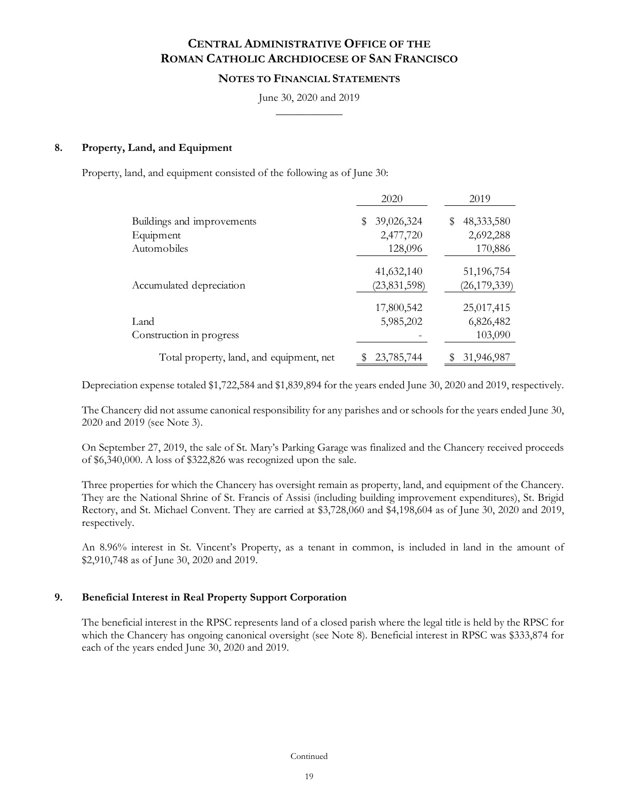#### **NOTES TO FINANCIAL STATEMENTS**

June 30, 2020 and 2019  $\frac{1}{2}$ 

#### **8. Property, Land, and Equipment**

Property, land, and equipment consisted of the following as of June 30:

|                                          | 2020                         | 2019                         |
|------------------------------------------|------------------------------|------------------------------|
| Buildings and improvements               | 39,026,324<br>\$             | 48,333,580<br>\$             |
| Equipment                                | 2,477,720                    | 2,692,288                    |
| Automobiles                              | 128,096                      | 170,886                      |
| Accumulated depreciation                 | 41,632,140<br>(23, 831, 598) | 51,196,754<br>(26, 179, 339) |
|                                          | 17,800,542                   | 25,017,415                   |
| Land                                     | 5,985,202                    | 6,826,482                    |
| Construction in progress                 |                              | 103,090                      |
| Total property, land, and equipment, net | 23,785,744                   | 31,946,987<br>S              |

Depreciation expense totaled \$1,722,584 and \$1,839,894 for the years ended June 30, 2020 and 2019, respectively.

The Chancery did not assume canonical responsibility for any parishes and or schools for the years ended June 30, 2020 and 2019 (see Note 3).

On September 27, 2019, the sale of St. Mary's Parking Garage was finalized and the Chancery received proceeds of \$6,340,000. A loss of \$322,826 was recognized upon the sale.

Three properties for which the Chancery has oversight remain as property, land, and equipment of the Chancery. They are the National Shrine of St. Francis of Assisi (including building improvement expenditures), St. Brigid Rectory, and St. Michael Convent. They are carried at \$3,728,060 and \$4,198,604 as of June 30, 2020 and 2019, respectively.

An 8.96% interest in St. Vincent's Property, as a tenant in common, is included in land in the amount of \$2,910,748 as of June 30, 2020 and 2019.

#### **9. Beneficial Interest in Real Property Support Corporation**

The beneficial interest in the RPSC represents land of a closed parish where the legal title is held by the RPSC for which the Chancery has ongoing canonical oversight (see Note 8). Beneficial interest in RPSC was \$333,874 for each of the years ended June 30, 2020 and 2019.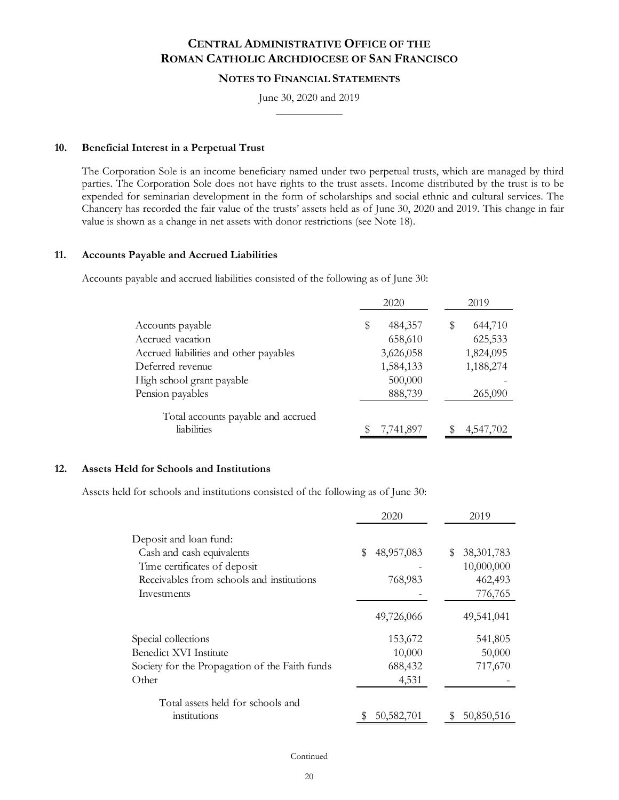### **NOTES TO FINANCIAL STATEMENTS**

June 30, 2020 and 2019  $\frac{1}{2}$ 

#### **10. Beneficial Interest in a Perpetual Trust**

The Corporation Sole is an income beneficiary named under two perpetual trusts, which are managed by third parties. The Corporation Sole does not have rights to the trust assets. Income distributed by the trust is to be expended for seminarian development in the form of scholarships and social ethnic and cultural services. The Chancery has recorded the fair value of the trusts' assets held as of June 30, 2020 and 2019. This change in fair value is shown as a change in net assets with donor restrictions (see Note 18).

#### **11. Accounts Payable and Accrued Liabilities**

Accounts payable and accrued liabilities consisted of the following as of June 30:

|                                                   | 2020                     | 2019                    |
|---------------------------------------------------|--------------------------|-------------------------|
| Accounts payable<br>Accrued vacation              | \$<br>484,357<br>658,610 | 644,710<br>S<br>625,533 |
| Accrued liabilities and other payables            | 3,626,058                | 1,824,095               |
| Deferred revenue                                  | 1,584,133                | 1,188,274               |
| High school grant payable                         | 500,000                  |                         |
| Pension payables                                  | 888,739                  | 265,090                 |
| Total accounts payable and accrued<br>liabilities | 7,741,897                | 4,547,702               |

#### **12. Assets Held for Schools and Institutions**

Assets held for schools and institutions consisted of the following as of June 30:

|                                                | 2020             | 2019               |
|------------------------------------------------|------------------|--------------------|
| Deposit and loan fund:                         |                  |                    |
| Cash and cash equivalents                      | \$<br>48,957,083 | 38, 301, 783<br>\$ |
| Time certificates of deposit                   |                  | 10,000,000         |
| Receivables from schools and institutions      | 768,983          | 462,493            |
| Investments                                    |                  | 776,765            |
|                                                | 49,726,066       | 49,541,041         |
| Special collections                            | 153,672          | 541,805            |
| Benedict XVI Institute                         | 10,000           | 50,000             |
| Society for the Propagation of the Faith funds | 688,432          | 717,670            |
| Other                                          | 4,531            |                    |
| Total assets held for schools and              |                  |                    |
| institutions                                   | 50, 582, 701     | 50,850,516<br>S    |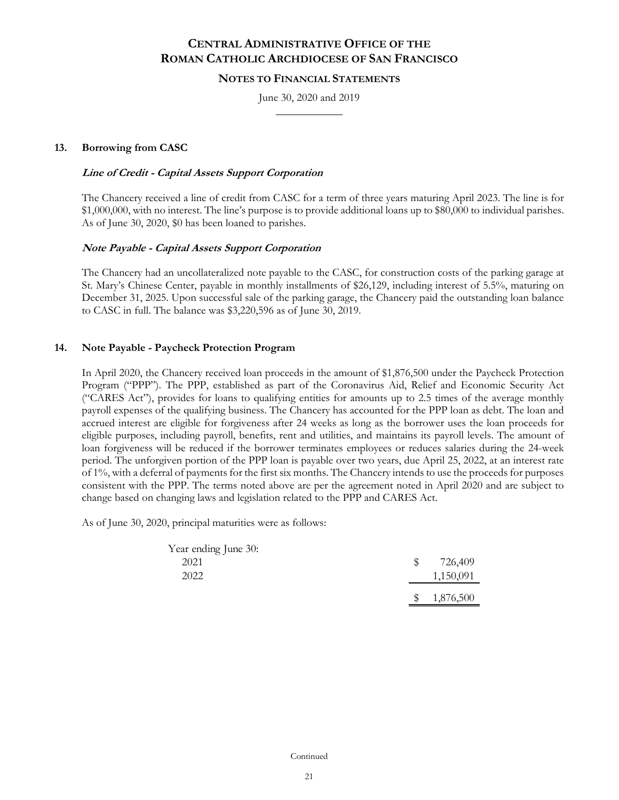#### **NOTES TO FINANCIAL STATEMENTS**

June 30, 2020 and 2019  $\frac{1}{2}$ 

### **13. Borrowing from CASC**

#### **Line of Credit - Capital Assets Support Corporation**

The Chancery received a line of credit from CASC for a term of three years maturing April 2023. The line is for \$1,000,000, with no interest. The line's purpose is to provide additional loans up to \$80,000 to individual parishes. As of June 30, 2020, \$0 has been loaned to parishes.

### **Note Payable - Capital Assets Support Corporation**

The Chancery had an uncollateralized note payable to the CASC, for construction costs of the parking garage at St. Mary's Chinese Center, payable in monthly installments of \$26,129, including interest of 5.5%, maturing on December 31, 2025. Upon successful sale of the parking garage, the Chancery paid the outstanding loan balance to CASC in full. The balance was \$3,220,596 as of June 30, 2019.

### **14. Note Payable - Paycheck Protection Program**

In April 2020, the Chancery received loan proceeds in the amount of \$1,876,500 under the Paycheck Protection Program ("PPP"). The PPP, established as part of the Coronavirus Aid, Relief and Economic Security Act ("CARES Act"), provides for loans to qualifying entities for amounts up to 2.5 times of the average monthly payroll expenses of the qualifying business. The Chancery has accounted for the PPP loan as debt. The loan and accrued interest are eligible for forgiveness after 24 weeks as long as the borrower uses the loan proceeds for eligible purposes, including payroll, benefits, rent and utilities, and maintains its payroll levels. The amount of loan forgiveness will be reduced if the borrower terminates employees or reduces salaries during the 24-week period. The unforgiven portion of the PPP loan is payable over two years, due April 25, 2022, at an interest rate of 1%, with a deferral of payments for the first six months. The Chancery intends to use the proceeds for purposes consistent with the PPP. The terms noted above are per the agreement noted in April 2020 and are subject to change based on changing laws and legislation related to the PPP and CARES Act.

As of June 30, 2020, principal maturities were as follows:

| Year ending June 30: |              |           |
|----------------------|--------------|-----------|
| 2021                 | S.           | 726,409   |
| 2022                 |              | 1,150,091 |
|                      | $\mathbb{S}$ | 1,876,500 |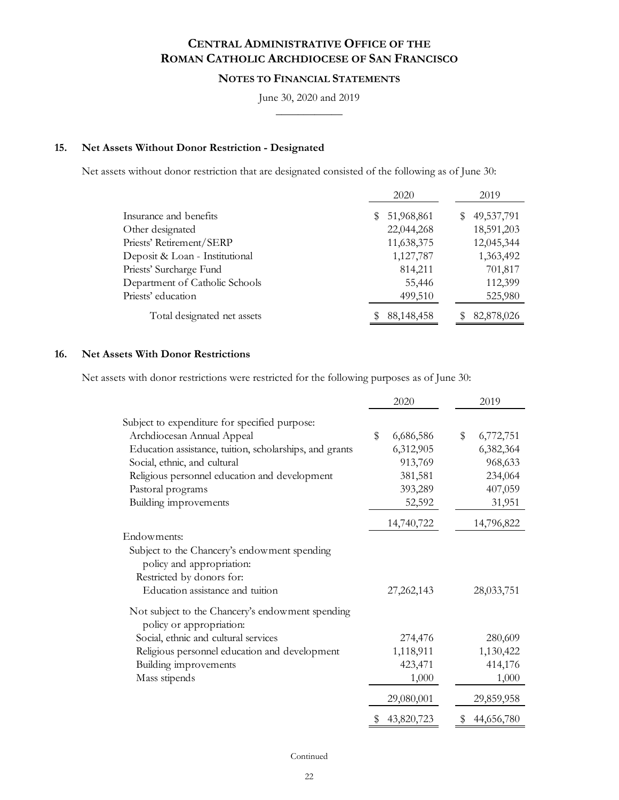## **NOTES TO FINANCIAL STATEMENTS**

June 30, 2020 and 2019  $\frac{1}{2}$ 

## **15. Net Assets Without Donor Restriction - Designated**

Net assets without donor restriction that are designated consisted of the following as of June 30:

|                                | 2020             | 2019         |
|--------------------------------|------------------|--------------|
| Insurance and benefits         | 51,968,861<br>S. | \$49,537,791 |
| Other designated               | 22,044,268       | 18,591,203   |
| Priests' Retirement/SERP       | 11,638,375       | 12,045,344   |
| Deposit & Loan - Institutional | 1,127,787        | 1,363,492    |
| Priests' Surcharge Fund        | 814,211          | 701,817      |
| Department of Catholic Schools | 55,446           | 112,399      |
| Priests' education             | 499,510          | 525,980      |
| Total designated net assets    | 88,148,458       | 82,878,026   |

### **16. Net Assets With Donor Restrictions**

Net assets with donor restrictions were restricted for the following purposes as of June 30:

|                                                                              | 2020                     | 2019             |
|------------------------------------------------------------------------------|--------------------------|------------------|
| Subject to expenditure for specified purpose:                                |                          |                  |
| Archdiocesan Annual Appeal                                                   | $\mathbb S$<br>6,686,586 | \$<br>6,772,751  |
| Education assistance, tuition, scholarships, and grants                      | 6,312,905                | 6,382,364        |
| Social, ethnic, and cultural                                                 | 913,769                  | 968,633          |
| Religious personnel education and development                                | 381,581                  | 234,064          |
| Pastoral programs                                                            | 393,289                  | 407,059          |
| Building improvements                                                        | 52,592                   | 31,951           |
|                                                                              | 14,740,722               | 14,796,822       |
| Endowments:                                                                  |                          |                  |
| Subject to the Chancery's endowment spending<br>policy and appropriation:    |                          |                  |
| Restricted by donors for:                                                    |                          |                  |
| Education assistance and tuition                                             | 27, 262, 143             | 28,033,751       |
| Not subject to the Chancery's endowment spending<br>policy or appropriation: |                          |                  |
| Social, ethnic and cultural services                                         | 274,476                  | 280,609          |
| Religious personnel education and development                                | 1,118,911                | 1,130,422        |
| Building improvements                                                        | 423,471                  | 414,176          |
| Mass stipends                                                                | 1,000                    | 1,000            |
|                                                                              | 29,080,001               | 29,859,958       |
|                                                                              | 43,820,723<br>\$         | \$<br>44,656,780 |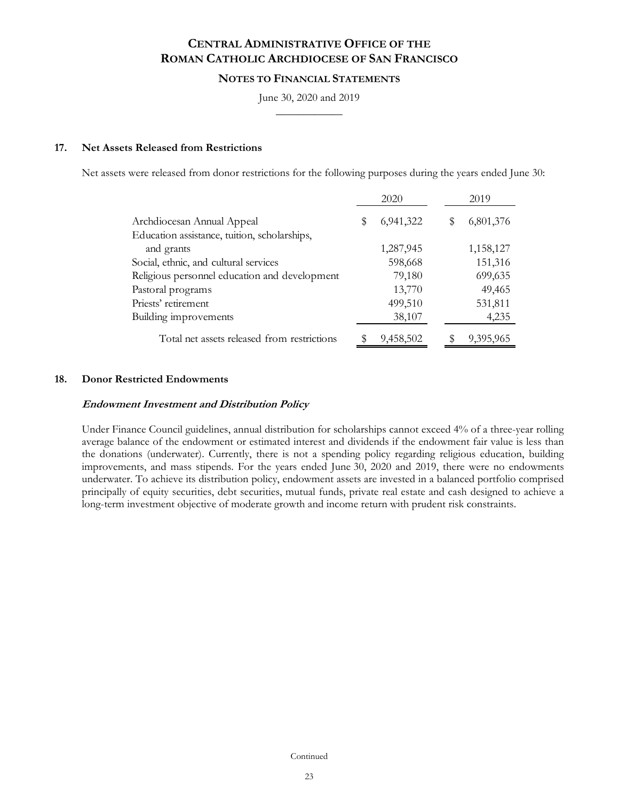### **NOTES TO FINANCIAL STATEMENTS**

June 30, 2020 and 2019  $\frac{1}{2}$ 

#### **17. Net Assets Released from Restrictions**

Net assets were released from donor restrictions for the following purposes during the years ended June 30:

|                                                            |   | 2020      |   | 2019      |
|------------------------------------------------------------|---|-----------|---|-----------|
| Archdiocesan Annual Appeal                                 | Ъ | 6,941,322 | S | 6,801,376 |
| Education assistance, tuition, scholarships,<br>and grants |   | 1,287,945 |   | 1,158,127 |
| Social, ethnic, and cultural services                      |   | 598,668   |   | 151,316   |
| Religious personnel education and development              |   | 79,180    |   | 699,635   |
| Pastoral programs                                          |   | 13,770    |   | 49,465    |
| Priests' retirement                                        |   | 499,510   |   | 531,811   |
| Building improvements                                      |   | 38,107    |   | 4,235     |
| Total net assets released from restrictions                |   | 9,458,502 |   | 9,395,965 |

#### **18. Donor Restricted Endowments**

#### **Endowment Investment and Distribution Policy**

Under Finance Council guidelines, annual distribution for scholarships cannot exceed 4% of a three-year rolling average balance of the endowment or estimated interest and dividends if the endowment fair value is less than the donations (underwater). Currently, there is not a spending policy regarding religious education, building improvements, and mass stipends. For the years ended June 30, 2020 and 2019, there were no endowments underwater. To achieve its distribution policy, endowment assets are invested in a balanced portfolio comprised principally of equity securities, debt securities, mutual funds, private real estate and cash designed to achieve a long-term investment objective of moderate growth and income return with prudent risk constraints.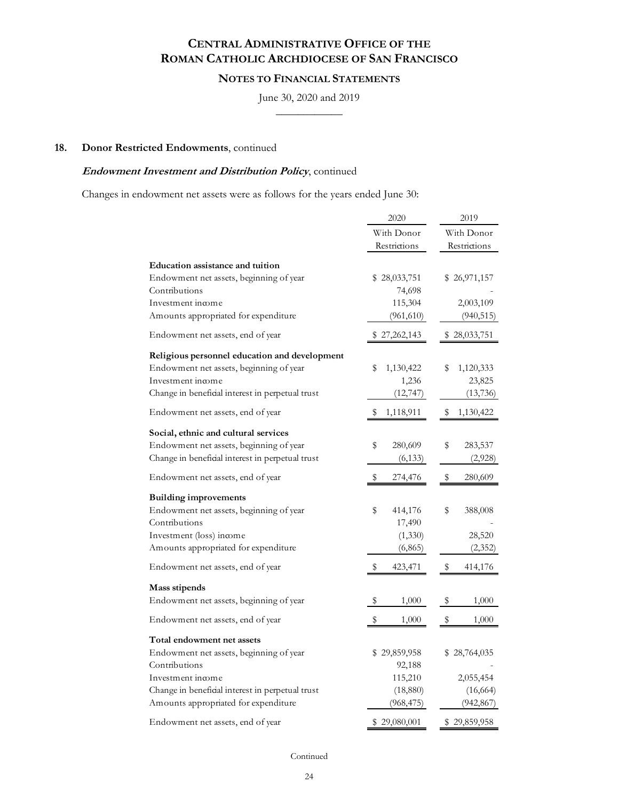## **NOTES TO FINANCIAL STATEMENTS**

June 30, 2020 and 2019

 $\overline{\phantom{a}}$ 

### **18. Donor Restricted Endowments**, continued

### **Endowment Investment and Distribution Policy**, continued

Changes in endowment net assets were as follows for the years ended June 30:

|                                                                                                                                                                                                         | 2020                                                         | 2019                                                |
|---------------------------------------------------------------------------------------------------------------------------------------------------------------------------------------------------------|--------------------------------------------------------------|-----------------------------------------------------|
|                                                                                                                                                                                                         | With Donor<br>Restrictions                                   | With Donor<br>Restrictions                          |
| Education assistance and tuition<br>Endowment net assets, beginning of year<br>Contributions<br>Investment income<br>Amounts appropriated for expenditure                                               | \$28,033,751<br>74,698<br>115,304<br>(961, 610)              | \$26,971,157<br>2,003,109<br>(940, 515)             |
| Endowment net assets, end of year                                                                                                                                                                       | \$27,262,143                                                 | \$28,033,751                                        |
| Religious personnel education and development<br>Endowment net assets, beginning of year<br>Investment income<br>Change in beneficial interest in perpetual trust                                       | \$<br>1,130,422<br>1,236<br>(12, 747)                        | \$<br>1,120,333<br>23,825<br>(13, 736)              |
| Endowment net assets, end of year                                                                                                                                                                       | \$<br>1,118,911                                              | \$<br>1,130,422                                     |
| Social, ethnic and cultural services<br>Endowment net assets, beginning of year<br>Change in beneficial interest in perpetual trust                                                                     | \$<br>280,609<br>(6, 133)                                    | \$<br>283,537<br>(2,928)                            |
| Endowment net assets, end of year                                                                                                                                                                       | S<br>274,476                                                 | \$<br>280,609                                       |
| <b>Building improvements</b><br>Endowment net assets, beginning of year<br>Contributions<br>Investment (loss) income<br>Amounts appropriated for expenditure                                            | \$<br>414,176<br>17,490<br>(1, 330)<br>(6, 865)              | \$<br>388,008<br>28,520<br>(2, 352)                 |
| Endowment net assets, end of year                                                                                                                                                                       | \$<br>423,471                                                | \$<br>414,176                                       |
| Mass stipends<br>Endowment net assets, beginning of year<br>Endowment net assets, end of year                                                                                                           | \$<br>1,000<br>\$<br>1,000                                   | \$<br>1,000<br>\$<br>1,000                          |
| Total endowment net assets<br>Endowment net assets, beginning of year<br>Contributions<br>Investment income<br>Change in beneficial interest in perpetual trust<br>Amounts appropriated for expenditure | \$29,859,958<br>92,188<br>115,210<br>(18, 880)<br>(968, 475) | \$28,764,035<br>2,055,454<br>(16, 664)<br>(942,867) |
| Endowment net assets, end of year                                                                                                                                                                       | \$29,080,001                                                 | \$29,859,958                                        |

Continued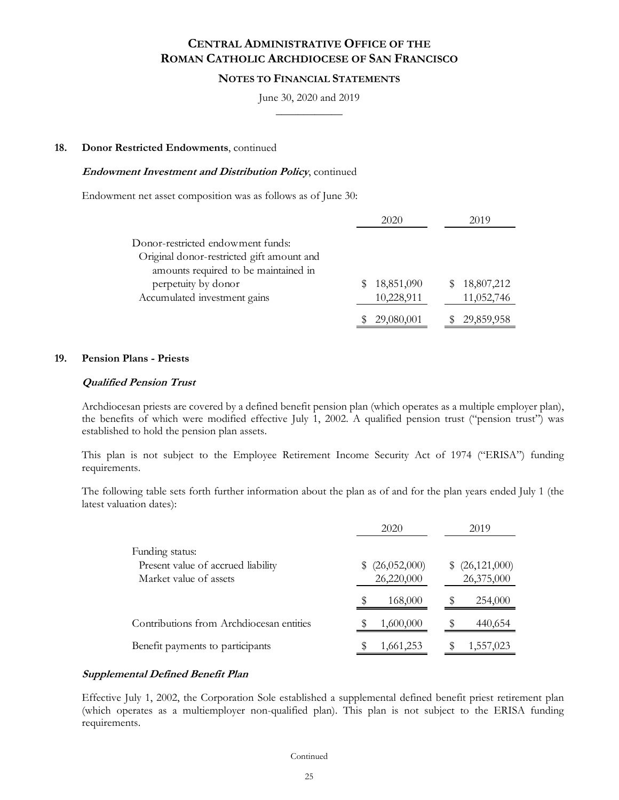#### **NOTES TO FINANCIAL STATEMENTS**

June 30, 2020 and 2019  $\frac{1}{2}$ 

#### **18. Donor Restricted Endowments**, continued

#### **Endowment Investment and Distribution Policy**, continued

Endowment net asset composition was as follows as of June 30:

|                                           | 2020       | 2019       |
|-------------------------------------------|------------|------------|
| Donor-restricted endowment funds:         |            |            |
| Original donor-restricted gift amount and |            |            |
| amounts required to be maintained in      |            |            |
| perpetuity by donor                       | 18,851,090 | 18,807,212 |
| Accumulated investment gains              | 10,228,911 | 11,052,746 |
|                                           | 29,080,001 | 29,859,958 |

#### **19. Pension Plans - Priests**

#### **Qualified Pension Trust**

Archdiocesan priests are covered by a defined benefit pension plan (which operates as a multiple employer plan), the benefits of which were modified effective July 1, 2002. A qualified pension trust ("pension trust") was established to hold the pension plan assets.

This plan is not subject to the Employee Retirement Income Security Act of 1974 ("ERISA") funding requirements.

The following table sets forth further information about the plan as of and for the plan years ended July 1 (the latest valuation dates):

|                                                                                 | 2020                            | 2019                               |
|---------------------------------------------------------------------------------|---------------------------------|------------------------------------|
| Funding status:<br>Present value of accrued liability<br>Market value of assets | (26,052,000)<br>S<br>26,220,000 | (26, 121, 000)<br>\$<br>26,375,000 |
|                                                                                 | 168,000                         | 254,000                            |
| Contributions from Archdiocesan entities                                        | 1,600,000                       | 440,654                            |
| Benefit payments to participants                                                | 1,661,253                       | 1,557,023                          |

#### **Supplemental Defined Benefit Plan**

Effective July 1, 2002, the Corporation Sole established a supplemental defined benefit priest retirement plan (which operates as a multiemployer non-qualified plan). This plan is not subject to the ERISA funding requirements.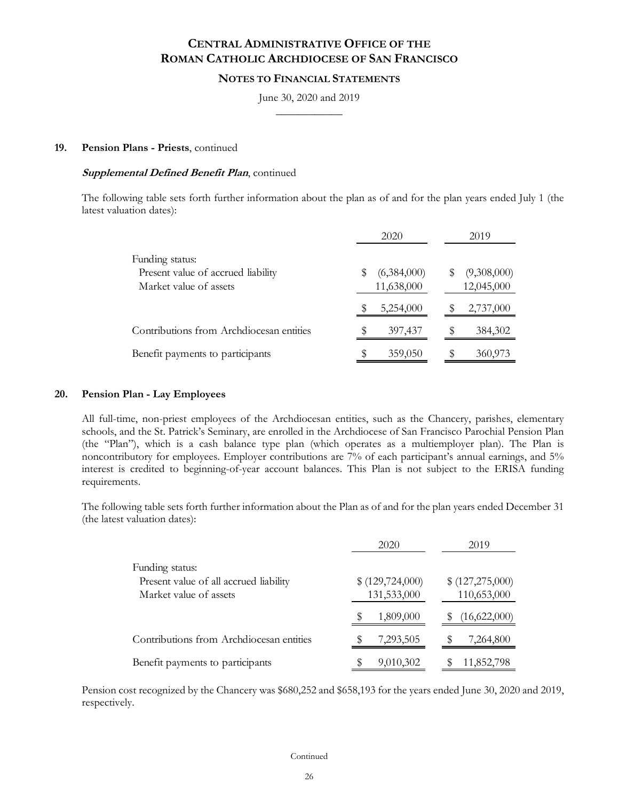#### **NOTES TO FINANCIAL STATEMENTS**

June 30, 2020 and 2019  $\frac{1}{2}$ 

#### **19. Pension Plans - Priests**, continued

#### **Supplemental Defined Benefit Plan**, continued

The following table sets forth further information about the plan as of and for the plan years ended July 1 (the latest valuation dates):

|                                                                                 | 2020                      | 2019                      |  |
|---------------------------------------------------------------------------------|---------------------------|---------------------------|--|
| Funding status:<br>Present value of accrued liability<br>Market value of assets | (6,384,000)<br>11,638,000 | (9,308,000)<br>12,045,000 |  |
|                                                                                 | 5,254,000                 | 2,737,000                 |  |
| Contributions from Archdiocesan entities                                        | 397,437                   | 384,302<br>S              |  |
| Benefit payments to participants                                                | 359,050                   | 360,973                   |  |

#### **20. Pension Plan - Lay Employees**

All full-time, non-priest employees of the Archdiocesan entities, such as the Chancery, parishes, elementary schools, and the St. Patrick's Seminary, are enrolled in the Archdiocese of San Francisco Parochial Pension Plan (the "Plan"), which is a cash balance type plan (which operates as a multiemployer plan). The Plan is noncontributory for employees. Employer contributions are 7% of each participant's annual earnings, and 5% interest is credited to beginning-of-year account balances. This Plan is not subject to the ERISA funding requirements.

The following table sets forth further information about the Plan as of and for the plan years ended December 31 (the latest valuation dates):

|                                                                                     | 2020                              | 2019                            |
|-------------------------------------------------------------------------------------|-----------------------------------|---------------------------------|
| Funding status:<br>Present value of all accrued liability<br>Market value of assets | \$ (129, 724, 000)<br>131,533,000 | \$ (127,275,000)<br>110,653,000 |
|                                                                                     | 1,809,000                         | (16,622,000)                    |
| Contributions from Archdiocesan entities                                            | 7,293,505                         | 7,264,800                       |
| Benefit payments to participants                                                    | 9,010,302                         | 11,852,798                      |

Pension cost recognized by the Chancery was \$680,252 and \$658,193 for the years ended June 30, 2020 and 2019, respectively.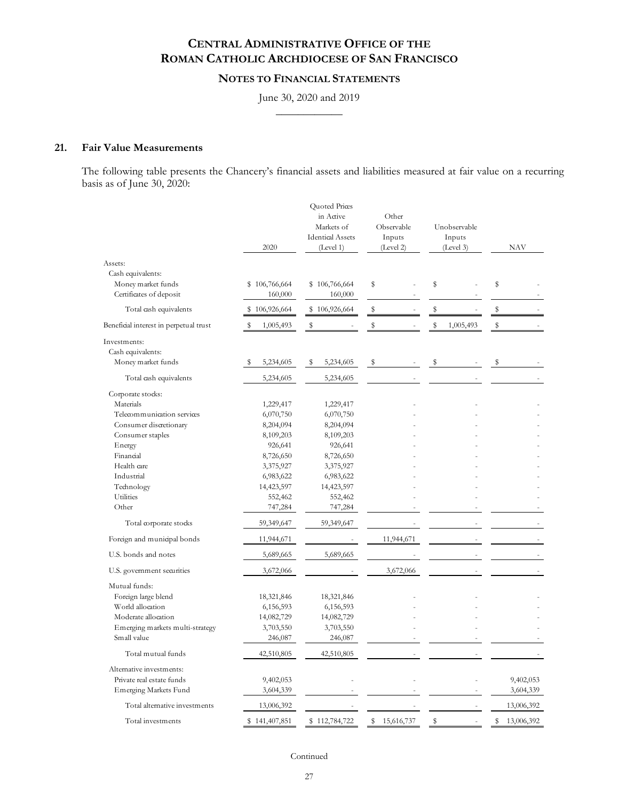## **NOTES TO FINANCIAL STATEMENTS**

#### June 30, 2020 and 2019  $\frac{1}{2}$

### **21. Fair Value Measurements**

The following table presents the Chancery's financial assets and liabilities measured at fair value on a recurring basis as of June 30, 2020:

|                                        | 2020           | Quoted Prices<br>in Active<br>Markets of<br><b>Identical Assets</b><br>(Level 1) | Other<br>Observable<br>Inputs<br>(Level 2) | Unobservable<br>Inputs<br>(Level 3) | <b>NAV</b>       |
|----------------------------------------|----------------|----------------------------------------------------------------------------------|--------------------------------------------|-------------------------------------|------------------|
| Assets:                                |                |                                                                                  |                                            |                                     |                  |
| Cash equivalents:                      |                |                                                                                  |                                            |                                     |                  |
| Money market funds                     | \$106,766,664  | \$106,766,664                                                                    | \$                                         | \$                                  | \$               |
| Certificates of deposit                | 160,000        | 160,000                                                                          |                                            |                                     |                  |
| Total cash equivalents                 | \$106,926,664  | \$106,926,664                                                                    | \$                                         | \$                                  | \$               |
| Beneficial interest in perpetual trust | 1,005,493<br>s | \$                                                                               | \$                                         | \$<br>1,005,493                     | \$               |
| Investments:                           |                |                                                                                  |                                            |                                     |                  |
| Cash equivalents:                      |                |                                                                                  |                                            |                                     |                  |
| Money market funds                     | 5,234,605      | 5,234,605<br>\$                                                                  | \$                                         | \$                                  | \$               |
| Total cash equivalents                 | 5,234,605      | 5,234,605                                                                        |                                            |                                     |                  |
| Corporate stocks:                      |                |                                                                                  |                                            |                                     |                  |
| Materials                              | 1,229,417      | 1,229,417                                                                        |                                            |                                     |                  |
| Telecommunication services             | 6,070,750      | 6,070,750                                                                        |                                            |                                     |                  |
| Consumer discretionary                 | 8,204,094      | 8,204,094                                                                        |                                            |                                     |                  |
| Consumer staples                       | 8,109,203      | 8,109,203                                                                        |                                            |                                     |                  |
| Energy                                 | 926,641        | 926,641                                                                          |                                            |                                     |                  |
| Financial                              | 8,726,650      | 8,726,650                                                                        |                                            |                                     |                  |
| Health care                            | 3,375,927      | 3,375,927                                                                        |                                            |                                     |                  |
| Industrial                             | 6,983,622      | 6,983,622                                                                        |                                            |                                     |                  |
| Technology                             | 14,423,597     | 14,423,597                                                                       |                                            |                                     |                  |
| Utilities                              | 552,462        | 552,462                                                                          |                                            |                                     |                  |
| Other                                  |                |                                                                                  |                                            |                                     |                  |
|                                        | 747,284        | 747,284                                                                          |                                            |                                     |                  |
| Total corporate stocks                 | 59,349,647     | 59,349,647                                                                       |                                            |                                     |                  |
| Foreign and municipal bonds            | 11,944,671     |                                                                                  | 11,944,671                                 |                                     |                  |
| U.S. bonds and notes                   | 5,689,665      | 5,689,665                                                                        |                                            |                                     |                  |
| U.S. government securities             | 3,672,066      |                                                                                  | 3,672,066                                  |                                     |                  |
| Mutual funds:                          |                |                                                                                  |                                            |                                     |                  |
| Foreign large blend                    | 18,321,846     | 18,321,846                                                                       |                                            |                                     |                  |
| World allocation                       | 6,156,593      | 6,156,593                                                                        |                                            |                                     |                  |
| Moderate allocation                    | 14,082,729     | 14,082,729                                                                       |                                            |                                     |                  |
| Emerging markets multi-strategy        | 3,703,550      | 3,703,550                                                                        |                                            |                                     |                  |
| Small value                            | 246,087        | 246,087                                                                          |                                            |                                     |                  |
| Total mutual funds                     | 42,510,805     | 42,510,805                                                                       |                                            |                                     |                  |
| Alternative investments:               |                |                                                                                  |                                            |                                     |                  |
| Private real estate funds              | 9,402,053      |                                                                                  |                                            |                                     | 9,402,053        |
| Emerging Markets Fund                  |                |                                                                                  |                                            |                                     |                  |
|                                        | 3,604,339      |                                                                                  |                                            |                                     | 3,604,339        |
| Total alternative investments          | 13,006,392     |                                                                                  |                                            |                                     | 13,006,392       |
| Total investments                      | \$141,407,851  | \$112,784,722                                                                    | \$15,616,737                               | $\frac{1}{2}$                       | \$<br>13,006,392 |

Continued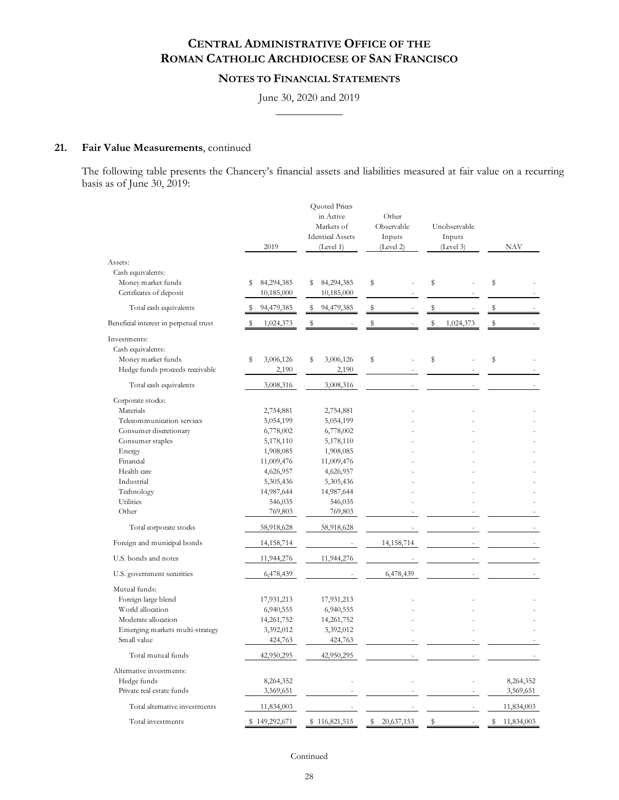## **NOTES TO FINANCIAL STATEMENTS**

#### June 30, 2020 and 2019  $\frac{1}{2}$

### **21. Fair Value Measurements**, continued

The following table presents the Chancery's financial assets and liabilities measured at fair value on a recurring basis as of June 30, 2019:

|                                        | 2019             | Quoted Prices<br>in Active<br>Markets of<br><b>Identical Assets</b><br>(Level 1) | Other<br>Observable<br>Inputs<br>(Level 2) | Unobservable<br>Inputs<br>(Level 3) | NAV                      |
|----------------------------------------|------------------|----------------------------------------------------------------------------------|--------------------------------------------|-------------------------------------|--------------------------|
| Assets:                                |                  |                                                                                  |                                            |                                     |                          |
| Cash equivalents:                      |                  |                                                                                  |                                            |                                     |                          |
| Money market funds                     | 84,294,385<br>\$ | 84,294,385<br>\$                                                                 | \$                                         | \$                                  | \$                       |
| Certificates of deposit                | 10,185,000       | 10,185,000                                                                       |                                            |                                     |                          |
| Total cash equivalents                 | 94,479,385       | s<br>94,479,385                                                                  | \$                                         | \$                                  | \$                       |
| Beneficial interest in perpetual trust | 1,024,373<br>\$  | \$                                                                               | \$                                         | \$<br>1,024,373                     | $\mathbb S$              |
| Investments:                           |                  |                                                                                  |                                            |                                     |                          |
| Cash equivalents:                      |                  |                                                                                  |                                            |                                     |                          |
| Money market funds                     | \$<br>3,006,126  | \$<br>3,006,126                                                                  | \$                                         | \$                                  | \$                       |
| Hedge funds proceeds receivable        | 2,190            | 2,190                                                                            |                                            |                                     |                          |
|                                        |                  |                                                                                  |                                            |                                     |                          |
| Total cash equivalents                 | 3,008,316        | 3,008,316                                                                        |                                            |                                     |                          |
| Corporate stocks:                      |                  |                                                                                  |                                            |                                     |                          |
| Materials                              | 2,754,881        | 2,754,881                                                                        |                                            |                                     |                          |
| Telecommunication services             | 5,054,199        | 5,054,199                                                                        |                                            |                                     |                          |
| Consumer discretionary                 | 6,778,002        | 6,778,002                                                                        |                                            |                                     |                          |
| Consumer staples                       | 5,178,110        | 5,178,110                                                                        |                                            |                                     |                          |
| Energy                                 | 1,908,085        | 1,908,085                                                                        |                                            |                                     |                          |
| Financial                              | 11,009,476       | 11,009,476                                                                       |                                            |                                     |                          |
| Health care                            | 4,626,957        | 4,626,957                                                                        |                                            |                                     |                          |
| Industrial                             | 5,305,436        | 5,305,436                                                                        |                                            |                                     |                          |
| Technology                             | 14,987,644       | 14,987,644                                                                       |                                            |                                     |                          |
| Utilities                              | 546,035          | 546,035                                                                          |                                            |                                     |                          |
| Other                                  | 769,803          | 769,803                                                                          |                                            |                                     |                          |
| Total corporate stocks                 | 58,918,628       | 58,918,628                                                                       |                                            |                                     |                          |
| Foreign and municipal bonds            | 14, 158, 714     |                                                                                  | 14,158,714                                 |                                     |                          |
| U.S. bonds and notes                   | 11,944,276       | 11,944,276                                                                       |                                            |                                     |                          |
| U.S. government securities             | 6,478,439        |                                                                                  | 6,478,439                                  |                                     |                          |
| Mutual funds:                          |                  |                                                                                  |                                            |                                     |                          |
| Foreign large blend                    | 17,931,213       | 17,931,213                                                                       |                                            |                                     |                          |
| World allocation                       | 6,940,555        | 6,940,555                                                                        |                                            |                                     |                          |
| Moderate allocation                    | 14,261,752       | 14,261,752                                                                       |                                            |                                     |                          |
| Emerging markets multi-strategy        | 3,392,012        | 3,392,012                                                                        |                                            |                                     |                          |
| Small value                            | 424,763          | 424,763                                                                          |                                            |                                     |                          |
| Total mutual funds                     | 42,950,295       | 42,950,295                                                                       |                                            |                                     | $\overline{\phantom{a}}$ |
| Alternative investments:               |                  |                                                                                  |                                            |                                     |                          |
| Hedge funds                            | 8,264,352        |                                                                                  |                                            |                                     | 8,264,352                |
| Private real estate funds              | 3,569,651        |                                                                                  |                                            |                                     | 3,569,651                |
| Total alternative investments          | 11,834,003       |                                                                                  |                                            |                                     | 11,834,003               |
| Total investments                      | \$149,292,671    | \$116,821,515                                                                    | 20,637,153<br>S                            | $\mathbb S$                         | 11,834,003<br>S          |

Continued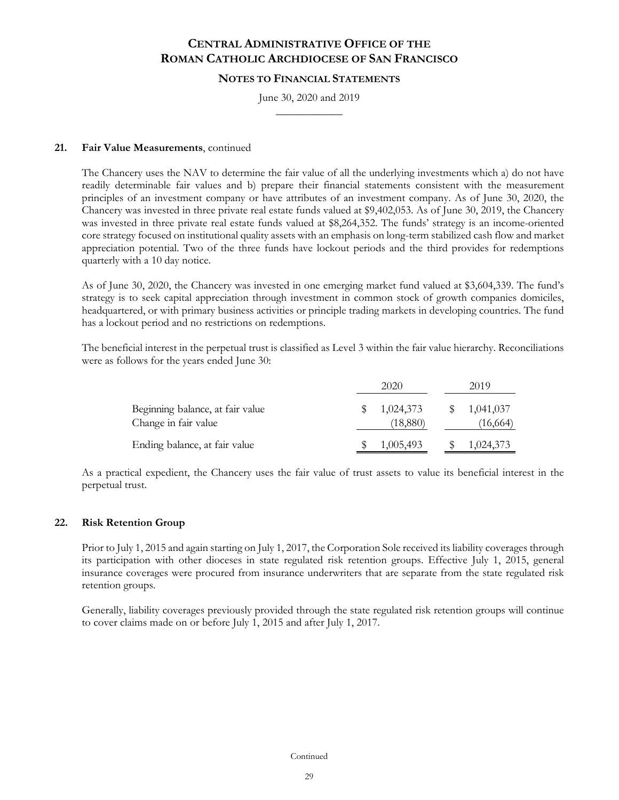### **NOTES TO FINANCIAL STATEMENTS**

June 30, 2020 and 2019  $\frac{1}{2}$ 

### **21. Fair Value Measurements**, continued

The Chancery uses the NAV to determine the fair value of all the underlying investments which a) do not have readily determinable fair values and b) prepare their financial statements consistent with the measurement principles of an investment company or have attributes of an investment company. As of June 30, 2020, the Chancery was invested in three private real estate funds valued at \$9,402,053. As of June 30, 2019, the Chancery was invested in three private real estate funds valued at \$8,264,352. The funds' strategy is an income-oriented core strategy focused on institutional quality assets with an emphasis on long-term stabilized cash flow and market appreciation potential. Two of the three funds have lockout periods and the third provides for redemptions quarterly with a 10 day notice.

As of June 30, 2020, the Chancery was invested in one emerging market fund valued at \$3,604,339. The fund's strategy is to seek capital appreciation through investment in common stock of growth companies domiciles, headquartered, or with primary business activities or principle trading markets in developing countries. The fund has a lockout period and no restrictions on redemptions.

The beneficial interest in the perpetual trust is classified as Level 3 within the fair value hierarchy. Reconciliations were as follows for the years ended June 30:

|                                                          | 2020                  | 2019                   |
|----------------------------------------------------------|-----------------------|------------------------|
| Beginning balance, at fair value<br>Change in fair value | 1,024,373<br>(18,880) | 1,041,037<br>(16, 664) |
| Ending balance, at fair value                            | 1,005,493             | 1,024,373              |

As a practical expedient, the Chancery uses the fair value of trust assets to value its beneficial interest in the perpetual trust.

## **22. Risk Retention Group**

Prior to July 1, 2015 and again starting on July 1, 2017, the Corporation Sole received its liability coverages through its participation with other dioceses in state regulated risk retention groups. Effective July 1, 2015, general insurance coverages were procured from insurance underwriters that are separate from the state regulated risk retention groups.

Generally, liability coverages previously provided through the state regulated risk retention groups will continue to cover claims made on or before July 1, 2015 and after July 1, 2017.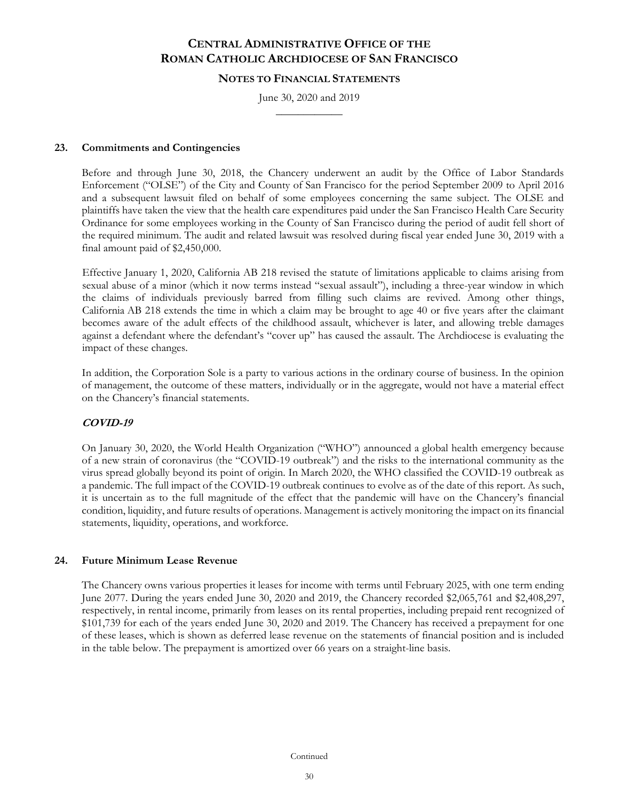#### **NOTES TO FINANCIAL STATEMENTS**

June 30, 2020 and 2019  $\frac{1}{2}$ 

### **23. Commitments and Contingencies**

Before and through June 30, 2018, the Chancery underwent an audit by the Office of Labor Standards Enforcement ("OLSE") of the City and County of San Francisco for the period September 2009 to April 2016 and a subsequent lawsuit filed on behalf of some employees concerning the same subject. The OLSE and plaintiffs have taken the view that the health care expenditures paid under the San Francisco Health Care Security Ordinance for some employees working in the County of San Francisco during the period of audit fell short of the required minimum. The audit and related lawsuit was resolved during fiscal year ended June 30, 2019 with a final amount paid of \$2,450,000.

Effective January 1, 2020, California AB 218 revised the statute of limitations applicable to claims arising from sexual abuse of a minor (which it now terms instead "sexual assault"), including a three-year window in which the claims of individuals previously barred from filling such claims are revived. Among other things, California AB 218 extends the time in which a claim may be brought to age 40 or five years after the claimant becomes aware of the adult effects of the childhood assault, whichever is later, and allowing treble damages against a defendant where the defendant's "cover up" has caused the assault. The Archdiocese is evaluating the impact of these changes.

In addition, the Corporation Sole is a party to various actions in the ordinary course of business. In the opinion of management, the outcome of these matters, individually or in the aggregate, would not have a material effect on the Chancery's financial statements.

## **COVID-19**

On January 30, 2020, the World Health Organization ("WHO") announced a global health emergency because of a new strain of coronavirus (the "COVID-19 outbreak") and the risks to the international community as the virus spread globally beyond its point of origin. In March 2020, the WHO classified the COVID-19 outbreak as a pandemic. The full impact of the COVID-19 outbreak continues to evolve as of the date of this report. As such, it is uncertain as to the full magnitude of the effect that the pandemic will have on the Chancery's financial condition, liquidity, and future results of operations. Management is actively monitoring the impact on its financial statements, liquidity, operations, and workforce.

#### **24. Future Minimum Lease Revenue**

The Chancery owns various properties it leases for income with terms until February 2025, with one term ending June 2077. During the years ended June 30, 2020 and 2019, the Chancery recorded \$2,065,761 and \$2,408,297, respectively, in rental income, primarily from leases on its rental properties, including prepaid rent recognized of \$101,739 for each of the years ended June 30, 2020 and 2019. The Chancery has received a prepayment for one of these leases, which is shown as deferred lease revenue on the statements of financial position and is included in the table below. The prepayment is amortized over 66 years on a straight-line basis.